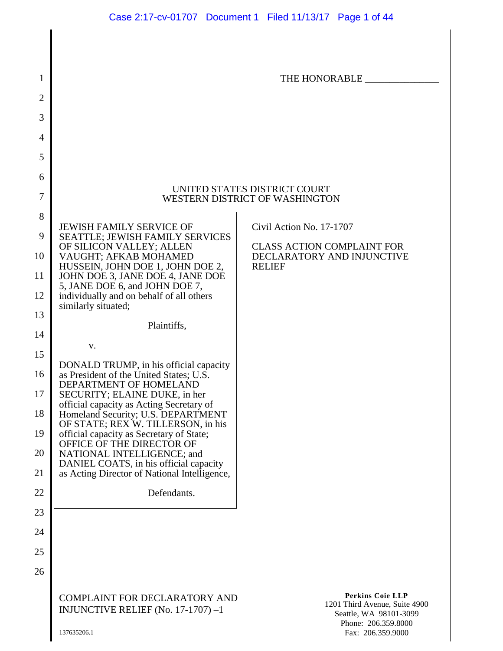| 1              |                                                                                                       | THE HONORABLE                                                                      |
|----------------|-------------------------------------------------------------------------------------------------------|------------------------------------------------------------------------------------|
| $\overline{2}$ |                                                                                                       |                                                                                    |
| 3              |                                                                                                       |                                                                                    |
| 4              |                                                                                                       |                                                                                    |
| 5              |                                                                                                       |                                                                                    |
| 6              |                                                                                                       |                                                                                    |
| 7              |                                                                                                       | UNITED STATES DISTRICT COURT<br>WESTERN DISTRICT OF WASHINGTON                     |
| 8              |                                                                                                       |                                                                                    |
| 9              | <b>JEWISH FAMILY SERVICE OF</b><br><b>SEATTLE; JEWISH FAMILY SERVICES</b><br>OF SILICON VALLEY; ALLEN | Civil Action No. 17-1707<br><b>CLASS ACTION COMPLAINT FOR</b>                      |
| 10             | VAUGHT; AFKAB MOHAMED<br>HUSSEIN, JOHN DOE 1, JOHN DOE 2,                                             | DECLARATORY AND INJUNCTIVE<br><b>RELIEF</b>                                        |
| 11             | JOHN DOE 3, JANE DOE 4, JANE DOE<br>5, JANE DOE 6, and JOHN DOE 7,                                    |                                                                                    |
| 12             | individually and on behalf of all others<br>similarly situated;                                       |                                                                                    |
| 13             | Plaintiffs,                                                                                           |                                                                                    |
| 14             | V.                                                                                                    |                                                                                    |
| 15             | DONALD TRUMP, in his official capacity                                                                |                                                                                    |
| 16             | as President of the United States; U.S.<br>DEPARTMENT OF HOMELAND                                     |                                                                                    |
| 17             | SECURITY: ELAINE DUKE, in her<br>official capacity as Acting Secretary of                             |                                                                                    |
| 18             | Homeland Security; U.S. DEPARTMENT<br>OF STATE; REX W. TILLERSON, in his                              |                                                                                    |
| 19             | official capacity as Secretary of State;<br>OFFICE OF THE DIRECTOR OF                                 |                                                                                    |
| 20             | NATIONAL INTELLIGENCE; and<br>DANIEL COATS, in his official capacity                                  |                                                                                    |
| 21             | as Acting Director of National Intelligence,                                                          |                                                                                    |
| 22             | Defendants.                                                                                           |                                                                                    |
| 23             |                                                                                                       |                                                                                    |
| 24             |                                                                                                       |                                                                                    |
| 25             |                                                                                                       |                                                                                    |
| 26             |                                                                                                       |                                                                                    |
|                | <b>COMPLAINT FOR DECLARATORY AND</b><br>INJUNCTIVE RELIEF (No. 17-1707)-1                             | <b>Perkins Coie LLP</b><br>1201 Third Avenue, Suite 4900<br>Seattle, WA 98101-3099 |
|                | 137635206.1                                                                                           | Phone: 206.359.8000<br>Fax: 206.359.9000                                           |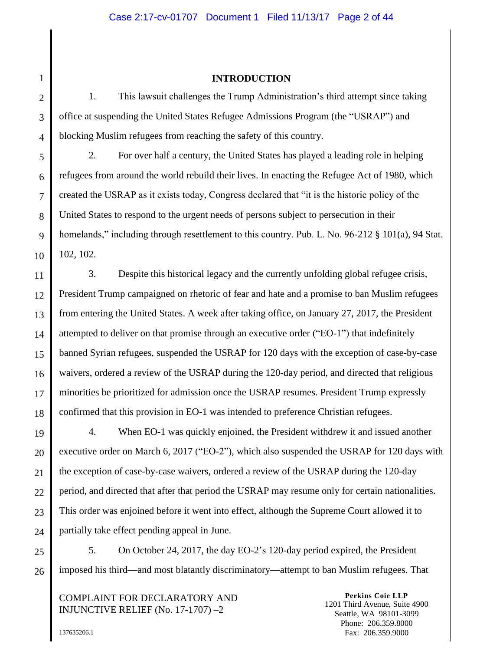1 2

# **INTRODUCTION**

3 4 1. This lawsuit challenges the Trump Administration's third attempt since taking office at suspending the United States Refugee Admissions Program (the "USRAP") and blocking Muslim refugees from reaching the safety of this country.

5 6 7 8 9 10 2. For over half a century, the United States has played a leading role in helping refugees from around the world rebuild their lives. In enacting the Refugee Act of 1980, which created the USRAP as it exists today, Congress declared that "it is the historic policy of the United States to respond to the urgent needs of persons subject to persecution in their homelands," including through resettlement to this country. Pub. L. No. 96-212 § 101(a), 94 Stat. 102, 102.

11 12 13 14 15 16 17 18 3. Despite this historical legacy and the currently unfolding global refugee crisis, President Trump campaigned on rhetoric of fear and hate and a promise to ban Muslim refugees from entering the United States. A week after taking office, on January 27, 2017, the President attempted to deliver on that promise through an executive order ("EO-1") that indefinitely banned Syrian refugees, suspended the USRAP for 120 days with the exception of case-by-case waivers, ordered a review of the USRAP during the 120-day period, and directed that religious minorities be prioritized for admission once the USRAP resumes. President Trump expressly confirmed that this provision in EO-1 was intended to preference Christian refugees.

19 20 21 22 23 24 4. When EO-1 was quickly enjoined, the President withdrew it and issued another executive order on March 6, 2017 ("EO-2"), which also suspended the USRAP for 120 days with the exception of case-by-case waivers, ordered a review of the USRAP during the 120-day period, and directed that after that period the USRAP may resume only for certain nationalities. This order was enjoined before it went into effect, although the Supreme Court allowed it to partially take effect pending appeal in June.

25 26 5. On October 24, 2017, the day EO-2's 120-day period expired, the President imposed his third—and most blatantly discriminatory—attempt to ban Muslim refugees. That

COMPLAINT FOR DECLARATORY AND INJUNCTIVE RELIEF (No. 17-1707) –2

**Perkins Coie LLP** 1201 Third Avenue, Suite 4900 Seattle, WA 98101-3099 Phone: 206.359.8000 Fax: 206.359.9000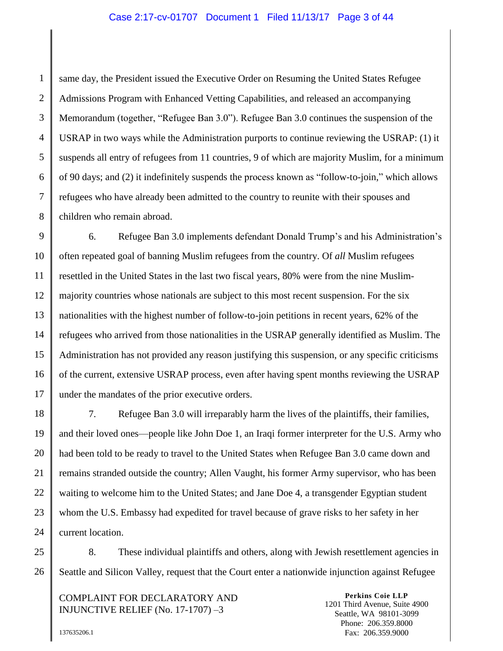#### Case 2:17-cv-01707 Document 1 Filed 11/13/17 Page 3 of 44

1 2 3 4 5 6 7 8 same day, the President issued the Executive Order on Resuming the United States Refugee Admissions Program with Enhanced Vetting Capabilities, and released an accompanying Memorandum (together, "Refugee Ban 3.0"). Refugee Ban 3.0 continues the suspension of the USRAP in two ways while the Administration purports to continue reviewing the USRAP: (1) it suspends all entry of refugees from 11 countries, 9 of which are majority Muslim, for a minimum of 90 days; and (2) it indefinitely suspends the process known as "follow-to-join," which allows refugees who have already been admitted to the country to reunite with their spouses and children who remain abroad.

9 10 11 12 13 14 15 16 17 6. Refugee Ban 3.0 implements defendant Donald Trump's and his Administration's often repeated goal of banning Muslim refugees from the country. Of *all* Muslim refugees resettled in the United States in the last two fiscal years, 80% were from the nine Muslimmajority countries whose nationals are subject to this most recent suspension. For the six nationalities with the highest number of follow-to-join petitions in recent years, 62% of the refugees who arrived from those nationalities in the USRAP generally identified as Muslim. The Administration has not provided any reason justifying this suspension, or any specific criticisms of the current, extensive USRAP process, even after having spent months reviewing the USRAP under the mandates of the prior executive orders.

18 19 20 21 22 23 24 7. Refugee Ban 3.0 will irreparably harm the lives of the plaintiffs, their families, and their loved ones—people like John Doe 1, an Iraqi former interpreter for the U.S. Army who had been told to be ready to travel to the United States when Refugee Ban 3.0 came down and remains stranded outside the country; Allen Vaught, his former Army supervisor, who has been waiting to welcome him to the United States; and Jane Doe 4, a transgender Egyptian student whom the U.S. Embassy had expedited for travel because of grave risks to her safety in her current location.

25 26 8. These individual plaintiffs and others, along with Jewish resettlement agencies in Seattle and Silicon Valley, request that the Court enter a nationwide injunction against Refugee

COMPLAINT FOR DECLARATORY AND INJUNCTIVE RELIEF (No. 17-1707) –3

**Perkins Coie LLP** 1201 Third Avenue, Suite 4900 Seattle, WA 98101-3099 Phone: 206.359.8000 Fax: 206.359.9000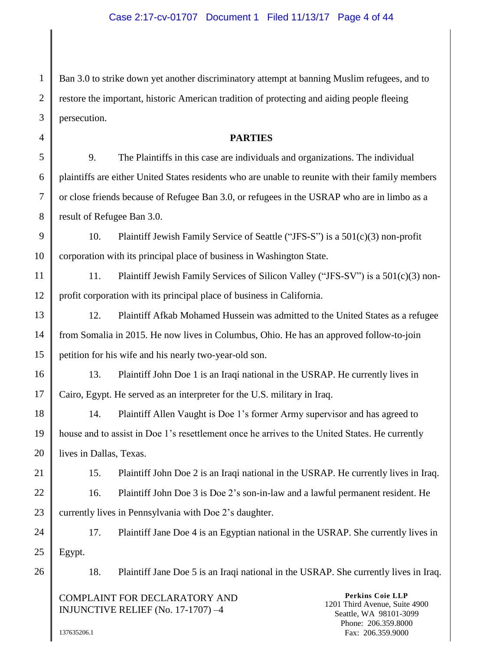1 2 3 Ban 3.0 to strike down yet another discriminatory attempt at banning Muslim refugees, and to restore the important, historic American tradition of protecting and aiding people fleeing persecution.

5 6 7 8 9. The Plaintiffs in this case are individuals and organizations. The individual plaintiffs are either United States residents who are unable to reunite with their family members or close friends because of Refugee Ban 3.0, or refugees in the USRAP who are in limbo as a result of Refugee Ban 3.0.

**PARTIES**

9 10 10. Plaintiff Jewish Family Service of Seattle ("JFS-S") is a 501(c)(3) non-profit corporation with its principal place of business in Washington State.

11 12 11. Plaintiff Jewish Family Services of Silicon Valley ("JFS-SV") is a 501(c)(3) nonprofit corporation with its principal place of business in California.

13 14 15 12. Plaintiff Afkab Mohamed Hussein was admitted to the United States as a refugee from Somalia in 2015. He now lives in Columbus, Ohio. He has an approved follow-to-join petition for his wife and his nearly two-year-old son.

16 17 13. Plaintiff John Doe 1 is an Iraqi national in the USRAP. He currently lives in Cairo, Egypt. He served as an interpreter for the U.S. military in Iraq.

18 19 20 14. Plaintiff Allen Vaught is Doe 1's former Army supervisor and has agreed to house and to assist in Doe 1's resettlement once he arrives to the United States. He currently lives in Dallas, Texas.

21 22 15. Plaintiff John Doe 2 is an Iraqi national in the USRAP. He currently lives in Iraq. 16. Plaintiff John Doe 3 is Doe 2's son-in-law and a lawful permanent resident. He

23 currently lives in Pennsylvania with Doe 2's daughter.

24 25 17. Plaintiff Jane Doe 4 is an Egyptian national in the USRAP. She currently lives in Egypt.

26

4

18. Plaintiff Jane Doe 5 is an Iraqi national in the USRAP. She currently lives in Iraq.

COMPLAINT FOR DECLARATORY AND INJUNCTIVE RELIEF (No. 17-1707) –4

**Perkins Coie LLP** 1201 Third Avenue, Suite 4900 Seattle, WA 98101-3099 Phone: 206.359.8000 Fax: 206.359.9000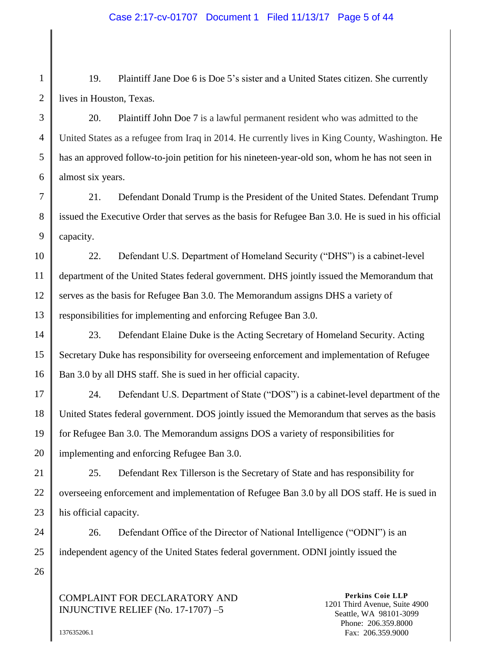### Case 2:17-cv-01707 Document 1 Filed 11/13/17 Page 5 of 44

1 2 19. Plaintiff Jane Doe 6 is Doe 5's sister and a United States citizen. She currently lives in Houston, Texas.

3 4 5 6 20. Plaintiff John Doe 7 is a lawful permanent resident who was admitted to the United States as a refugee from Iraq in 2014. He currently lives in King County, Washington. He has an approved follow-to-join petition for his nineteen-year-old son, whom he has not seen in almost six years.

7 8 9 21. Defendant Donald Trump is the President of the United States. Defendant Trump issued the Executive Order that serves as the basis for Refugee Ban 3.0. He is sued in his official capacity.

10 11 12 13 22. Defendant U.S. Department of Homeland Security ("DHS") is a cabinet-level department of the United States federal government. DHS jointly issued the Memorandum that serves as the basis for Refugee Ban 3.0. The Memorandum assigns DHS a variety of responsibilities for implementing and enforcing Refugee Ban 3.0.

14 15 16 23. Defendant Elaine Duke is the Acting Secretary of Homeland Security. Acting Secretary Duke has responsibility for overseeing enforcement and implementation of Refugee Ban 3.0 by all DHS staff. She is sued in her official capacity.

17 18 19 20 24. Defendant U.S. Department of State ("DOS") is a cabinet-level department of the United States federal government. DOS jointly issued the Memorandum that serves as the basis for Refugee Ban 3.0. The Memorandum assigns DOS a variety of responsibilities for implementing and enforcing Refugee Ban 3.0.

21 22 23 25. Defendant Rex Tillerson is the Secretary of State and has responsibility for overseeing enforcement and implementation of Refugee Ban 3.0 by all DOS staff. He is sued in his official capacity.

24 25 26 26. Defendant Office of the Director of National Intelligence ("ODNI") is an independent agency of the United States federal government. ODNI jointly issued the

COMPLAINT FOR DECLARATORY AND INJUNCTIVE RELIEF (No. 17-1707) –5

**Perkins Coie LLP** 1201 Third Avenue, Suite 4900 Seattle, WA 98101-3099 Phone: 206.359.8000 Fax: 206.359.9000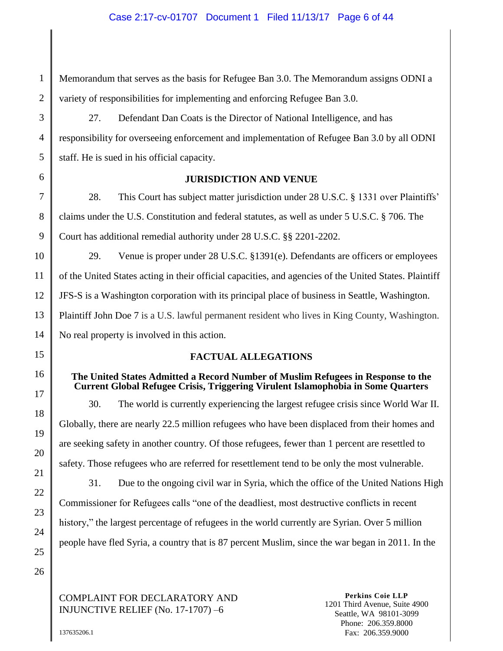# Case 2:17-cv-01707 Document 1 Filed 11/13/17 Page 6 of 44

1 2 3 4 5 6 7 8 9 10 11 12 13 14 15 16 17 18 19 20 21 22 23 24 25 26 Memorandum that serves as the basis for Refugee Ban 3.0. The Memorandum assigns ODNI a variety of responsibilities for implementing and enforcing Refugee Ban 3.0. 27. Defendant Dan Coats is the Director of National Intelligence, and has responsibility for overseeing enforcement and implementation of Refugee Ban 3.0 by all ODNI staff. He is sued in his official capacity. **JURISDICTION AND VENUE** 28. This Court has subject matter jurisdiction under 28 U.S.C. § 1331 over Plaintiffs' claims under the U.S. Constitution and federal statutes, as well as under 5 U.S.C. § 706. The Court has additional remedial authority under 28 U.S.C. §§ 2201-2202. 29. Venue is proper under 28 U.S.C. §1391(e). Defendants are officers or employees of the United States acting in their official capacities, and agencies of the United States. Plaintiff JFS-S is a Washington corporation with its principal place of business in Seattle, Washington. Plaintiff John Doe 7 is a U.S. lawful permanent resident who lives in King County, Washington. No real property is involved in this action. **FACTUAL ALLEGATIONS The United States Admitted a Record Number of Muslim Refugees in Response to the Current Global Refugee Crisis, Triggering Virulent Islamophobia in Some Quarters** 30. The world is currently experiencing the largest refugee crisis since World War II. Globally, there are nearly 22.5 million refugees who have been displaced from their homes and are seeking safety in another country. Of those refugees, fewer than 1 percent are resettled to safety. Those refugees who are referred for resettlement tend to be only the most vulnerable. 31. Due to the ongoing civil war in Syria, which the office of the United Nations High Commissioner for Refugees calls "one of the deadliest, most destructive conflicts in recent history," the largest percentage of refugees in the world currently are Syrian. Over 5 million people have fled Syria, a country that is 87 percent Muslim, since the war began in 2011. In the

# COMPLAINT FOR DECLARATORY AND INJUNCTIVE RELIEF (No. 17-1707) –6

**Perkins Coie LLP** 1201 Third Avenue, Suite 4900 Seattle, WA 98101-3099 Phone: 206.359.8000 Fax: 206.359.9000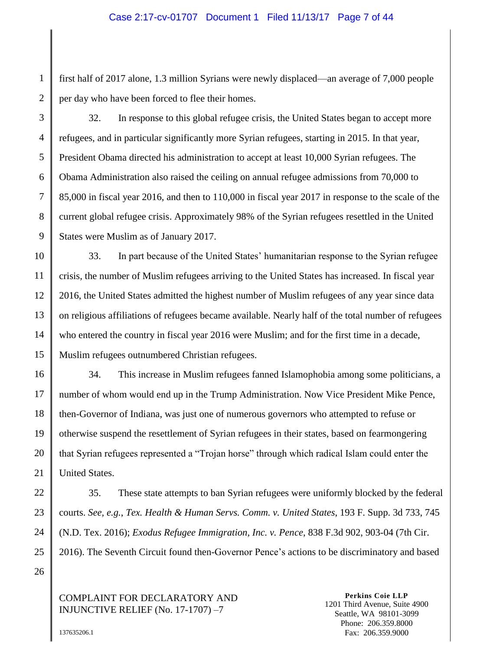#### Case 2:17-cv-01707 Document 1 Filed 11/13/17 Page 7 of 44

1 2 first half of 2017 alone, 1.3 million Syrians were newly displaced—an average of 7,000 people per day who have been forced to flee their homes.

3 4 5 6 7 8 9 32. In response to this global refugee crisis, the United States began to accept more refugees, and in particular significantly more Syrian refugees, starting in 2015. In that year, President Obama directed his administration to accept at least 10,000 Syrian refugees. The Obama Administration also raised the ceiling on annual refugee admissions from 70,000 to 85,000 in fiscal year 2016, and then to 110,000 in fiscal year 2017 in response to the scale of the current global refugee crisis. Approximately 98% of the Syrian refugees resettled in the United States were Muslim as of January 2017.

10 11 12 13 14 15 33. In part because of the United States' humanitarian response to the Syrian refugee crisis, the number of Muslim refugees arriving to the United States has increased. In fiscal year 2016, the United States admitted the highest number of Muslim refugees of any year since data on religious affiliations of refugees became available. Nearly half of the total number of refugees who entered the country in fiscal year 2016 were Muslim; and for the first time in a decade, Muslim refugees outnumbered Christian refugees.

16 17 18 19 20 21 34. This increase in Muslim refugees fanned Islamophobia among some politicians, a number of whom would end up in the Trump Administration. Now Vice President Mike Pence, then-Governor of Indiana, was just one of numerous governors who attempted to refuse or otherwise suspend the resettlement of Syrian refugees in their states, based on fearmongering that Syrian refugees represented a "Trojan horse" through which radical Islam could enter the United States.

22 23 24 25 26 35. These state attempts to ban Syrian refugees were uniformly blocked by the federal courts. *See, e.g.*, *Tex. Health & Human Servs. Comm. v. United States*, 193 F. Supp. 3d 733, 745 (N.D. Tex. 2016); *Exodus Refugee Immigration, Inc. v. Pence*, 838 F.3d 902, 903-04 (7th Cir. 2016). The Seventh Circuit found then-Governor Pence's actions to be discriminatory and based

COMPLAINT FOR DECLARATORY AND INJUNCTIVE RELIEF (No. 17-1707) –7

**Perkins Coie LLP** 1201 Third Avenue, Suite 4900 Seattle, WA 98101-3099 Phone: 206.359.8000 Fax: 206.359.9000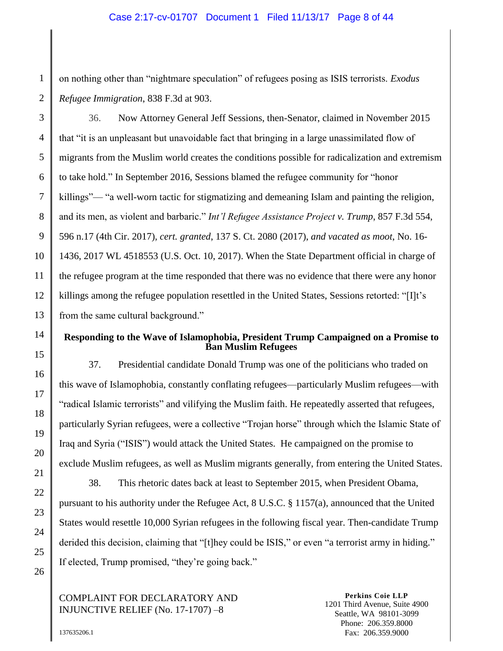## Case 2:17-cv-01707 Document 1 Filed 11/13/17 Page 8 of 44

1 2 on nothing other than "nightmare speculation" of refugees posing as ISIS terrorists. *Exodus Refugee Immigration*, 838 F.3d at 903.

3 4 5 6 7 8 9 36. Now Attorney General Jeff Sessions, then-Senator, claimed in November 2015 that "it is an unpleasant but unavoidable fact that bringing in a large unassimilated flow of migrants from the Muslim world creates the conditions possible for radicalization and extremism to take hold." In September 2016, Sessions blamed the refugee community for "honor killings"— "a well-worn tactic for stigmatizing and demeaning Islam and painting the religion, and its men, as violent and barbaric." *Int'l Refugee Assistance Project v. Trump*, 857 F.3d 554, 596 n.17 (4th Cir. 2017), *cert. granted*, 137 S. Ct. 2080 (2017), *and vacated as moot*, No. 16- 1436, 2017 WL 4518553 (U.S. Oct. 10, 2017). When the State Department official in charge of the refugee program at the time responded that there was no evidence that there were any honor killings among the refugee population resettled in the United States, Sessions retorted: "[I]t's from the same cultural background."

## **Responding to the Wave of Islamophobia, President Trump Campaigned on a Promise to Ban Muslim Refugees**

37. Presidential candidate Donald Trump was one of the politicians who traded on this wave of Islamophobia, constantly conflating refugees—particularly Muslim refugees—with "radical Islamic terrorists" and vilifying the Muslim faith. He repeatedly asserted that refugees, particularly Syrian refugees, were a collective "Trojan horse" through which the Islamic State of Iraq and Syria ("ISIS") would attack the United States. He campaigned on the promise to exclude Muslim refugees, as well as Muslim migrants generally, from entering the United States.

38. This rhetoric dates back at least to September 2015, when President Obama, pursuant to his authority under the Refugee Act, 8 U.S.C. § 1157(a), announced that the United States would resettle 10,000 Syrian refugees in the following fiscal year. Then-candidate Trump derided this decision, claiming that "[t]hey could be ISIS," or even "a terrorist army in hiding." If elected, Trump promised, "they're going back."

# COMPLAINT FOR DECLARATORY AND INJUNCTIVE RELIEF (No. 17-1707) –8

**Perkins Coie LLP** 1201 Third Avenue, Suite 4900 Seattle, WA 98101-3099 Phone: 206.359.8000 Fax: 206.359.9000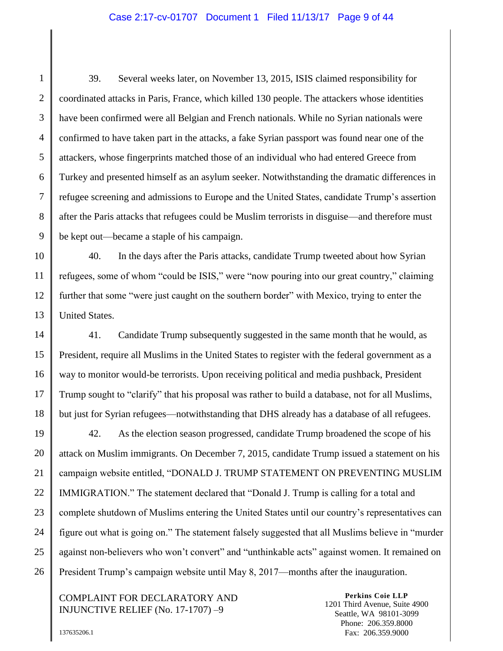#### Case 2:17-cv-01707 Document 1 Filed 11/13/17 Page 9 of 44

1 2 3 4 5 6 7 8 9 39. Several weeks later, on November 13, 2015, ISIS claimed responsibility for coordinated attacks in Paris, France, which killed 130 people. The attackers whose identities have been confirmed were all Belgian and French nationals. While no Syrian nationals were confirmed to have taken part in the attacks, a fake Syrian passport was found near one of the attackers, whose fingerprints matched those of an individual who had entered Greece from Turkey and presented himself as an asylum seeker. Notwithstanding the dramatic differences in refugee screening and admissions to Europe and the United States, candidate Trump's assertion after the Paris attacks that refugees could be Muslim terrorists in disguise—and therefore must be kept out—became a staple of his campaign.

10 11 12 13 40. In the days after the Paris attacks, candidate Trump tweeted about how Syrian refugees, some of whom "could be ISIS," were "now pouring into our great country," claiming further that some "were just caught on the southern border" with Mexico, trying to enter the United States.

14 15 16 17 18 41. Candidate Trump subsequently suggested in the same month that he would, as President, require all Muslims in the United States to register with the federal government as a way to monitor would-be terrorists. Upon receiving political and media pushback, President Trump sought to "clarify" that his proposal was rather to build a database, not for all Muslims, but just for Syrian refugees—notwithstanding that DHS already has a database of all refugees.

19 20 21 22 23 24 25 26 42. As the election season progressed, candidate Trump broadened the scope of his attack on Muslim immigrants. On December 7, 2015, candidate Trump issued a statement on his campaign website entitled, "DONALD J. TRUMP STATEMENT ON PREVENTING MUSLIM IMMIGRATION." The statement declared that "Donald J. Trump is calling for a total and complete shutdown of Muslims entering the United States until our country's representatives can figure out what is going on." The statement falsely suggested that all Muslims believe in "murder against non-believers who won't convert" and "unthinkable acts" against women. It remained on President Trump's campaign website until May 8, 2017—months after the inauguration.

COMPLAINT FOR DECLARATORY AND INJUNCTIVE RELIEF (No. 17-1707) –9

**Perkins Coie LLP** 1201 Third Avenue, Suite 4900 Seattle, WA 98101-3099 Phone: 206.359.8000 Fax: 206.359.9000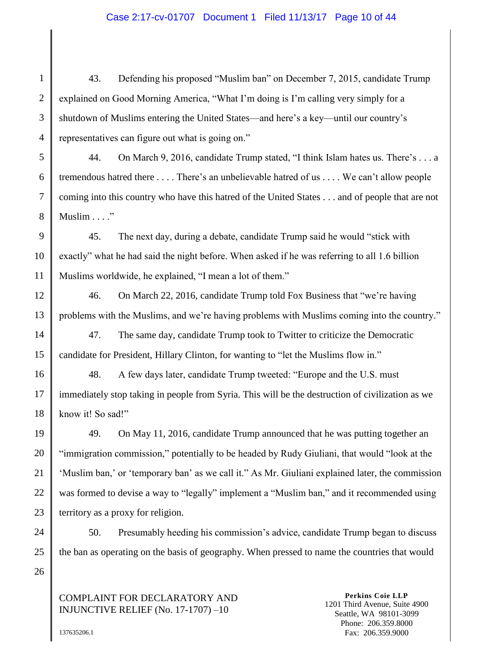## Case 2:17-cv-01707 Document 1 Filed 11/13/17 Page 10 of 44

1 2 3 4 43. Defending his proposed "Muslim ban" on December 7, 2015, candidate Trump explained on Good Morning America, "What I'm doing is I'm calling very simply for a shutdown of Muslims entering the United States—and here's a key—until our country's representatives can figure out what is going on."

5 6 7 8 44. On March 9, 2016, candidate Trump stated, "I think Islam hates us. There's . . . a tremendous hatred there . . . . There's an unbelievable hatred of us . . . . We can't allow people coming into this country who have this hatred of the United States . . . and of people that are not Muslim  $\ldots$ ."

9 10 11 45. The next day, during a debate, candidate Trump said he would "stick with exactly" what he had said the night before. When asked if he was referring to all 1.6 billion Muslims worldwide, he explained, "I mean a lot of them."

12 13 46. On March 22, 2016, candidate Trump told Fox Business that "we're having problems with the Muslims, and we're having problems with Muslims coming into the country."

14 15 47. The same day, candidate Trump took to Twitter to criticize the Democratic candidate for President, Hillary Clinton, for wanting to "let the Muslims flow in."

16 17 18 48. A few days later, candidate Trump tweeted: "Europe and the U.S. must immediately stop taking in people from Syria. This will be the destruction of civilization as we know it! So sad!"

19 20 21 22 23 49. On May 11, 2016, candidate Trump announced that he was putting together an "immigration commission," potentially to be headed by Rudy Giuliani, that would "look at the 'Muslim ban,' or 'temporary ban' as we call it." As Mr. Giuliani explained later, the commission was formed to devise a way to "legally" implement a "Muslim ban," and it recommended using territory as a proxy for religion.

24 25 26 50. Presumably heeding his commission's advice, candidate Trump began to discuss the ban as operating on the basis of geography. When pressed to name the countries that would

COMPLAINT FOR DECLARATORY AND INJUNCTIVE RELIEF (No. 17-1707) –10

**Perkins Coie LLP** 1201 Third Avenue, Suite 4900 Seattle, WA 98101-3099 Phone: 206.359.8000 Fax: 206.359.9000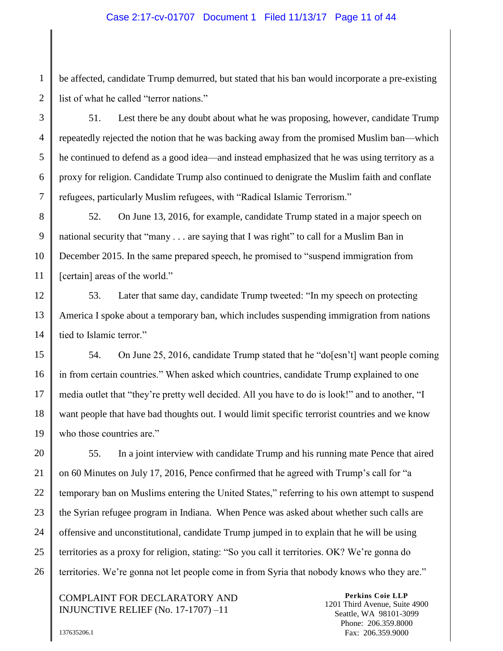#### Case 2:17-cv-01707 Document 1 Filed 11/13/17 Page 11 of 44

1 2 be affected, candidate Trump demurred, but stated that his ban would incorporate a pre-existing list of what he called "terror nations."

3 4 5 6 7 51. Lest there be any doubt about what he was proposing, however, candidate Trump repeatedly rejected the notion that he was backing away from the promised Muslim ban—which he continued to defend as a good idea—and instead emphasized that he was using territory as a proxy for religion. Candidate Trump also continued to denigrate the Muslim faith and conflate refugees, particularly Muslim refugees, with "Radical Islamic Terrorism."

8 9 10 11 52. On June 13, 2016, for example, candidate Trump stated in a major speech on national security that "many . . . are saying that I was right" to call for a Muslim Ban in December 2015. In the same prepared speech, he promised to "suspend immigration from [certain] areas of the world."

12 13 14 53. Later that same day, candidate Trump tweeted: "In my speech on protecting America I spoke about a temporary ban, which includes suspending immigration from nations tied to Islamic terror."

15 16 17 18 19 54. On June 25, 2016, candidate Trump stated that he "do[esn't] want people coming in from certain countries." When asked which countries, candidate Trump explained to one media outlet that "they're pretty well decided. All you have to do is look!" and to another, "I want people that have bad thoughts out. I would limit specific terrorist countries and we know who those countries are."

20 21 22 23 24 25 26 55. In a joint interview with candidate Trump and his running mate Pence that aired on 60 Minutes on July 17, 2016, Pence confirmed that he agreed with Trump's call for "a temporary ban on Muslims entering the United States," referring to his own attempt to suspend the Syrian refugee program in Indiana. When Pence was asked about whether such calls are offensive and unconstitutional, candidate Trump jumped in to explain that he will be using territories as a proxy for religion, stating: "So you call it territories. OK? We're gonna do territories. We're gonna not let people come in from Syria that nobody knows who they are."

COMPLAINT FOR DECLARATORY AND INJUNCTIVE RELIEF (No. 17-1707) –11

**Perkins Coie LLP** 1201 Third Avenue, Suite 4900 Seattle, WA 98101-3099 Phone: 206.359.8000 Fax: 206.359.9000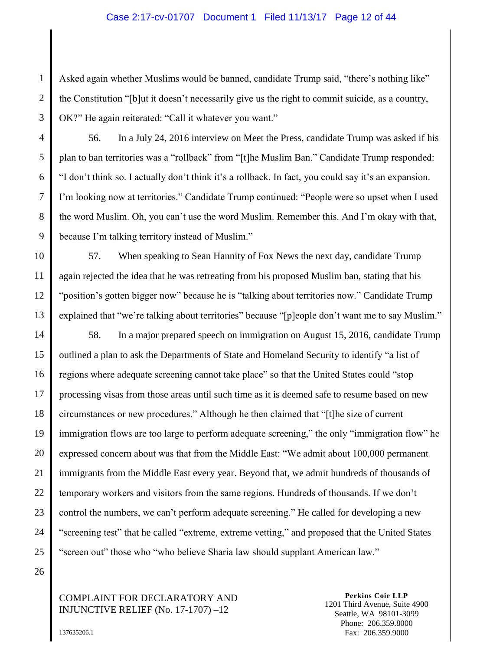#### Case 2:17-cv-01707 Document 1 Filed 11/13/17 Page 12 of 44

1 2 3 Asked again whether Muslims would be banned, candidate Trump said, "there's nothing like" the Constitution "[b]ut it doesn't necessarily give us the right to commit suicide, as a country, OK?" He again reiterated: "Call it whatever you want."

4 5 6 7 8 9 56. In a July 24, 2016 interview on Meet the Press, candidate Trump was asked if his plan to ban territories was a "rollback" from "[t]he Muslim Ban." Candidate Trump responded: "I don't think so. I actually don't think it's a rollback. In fact, you could say it's an expansion. I'm looking now at territories." Candidate Trump continued: "People were so upset when I used the word Muslim. Oh, you can't use the word Muslim. Remember this. And I'm okay with that, because I'm talking territory instead of Muslim."

10 11 12 13 57. When speaking to Sean Hannity of Fox News the next day, candidate Trump again rejected the idea that he was retreating from his proposed Muslim ban, stating that his "position's gotten bigger now" because he is "talking about territories now." Candidate Trump explained that "we're talking about territories" because "[p]eople don't want me to say Muslim."

14 15 16 17 18 19 20 21 22 23 24 25 58. In a major prepared speech on immigration on August 15, 2016, candidate Trump outlined a plan to ask the Departments of State and Homeland Security to identify "a list of regions where adequate screening cannot take place" so that the United States could "stop processing visas from those areas until such time as it is deemed safe to resume based on new circumstances or new procedures." Although he then claimed that "[t]he size of current immigration flows are too large to perform adequate screening," the only "immigration flow" he expressed concern about was that from the Middle East: "We admit about 100,000 permanent immigrants from the Middle East every year. Beyond that, we admit hundreds of thousands of temporary workers and visitors from the same regions. Hundreds of thousands. If we don't control the numbers, we can't perform adequate screening." He called for developing a new "screening test" that he called "extreme, extreme vetting," and proposed that the United States "screen out" those who "who believe Sharia law should supplant American law."

26

# COMPLAINT FOR DECLARATORY AND INJUNCTIVE RELIEF (No. 17-1707) –12

**Perkins Coie LLP** 1201 Third Avenue, Suite 4900 Seattle, WA 98101-3099 Phone: 206.359.8000 Fax: 206.359.9000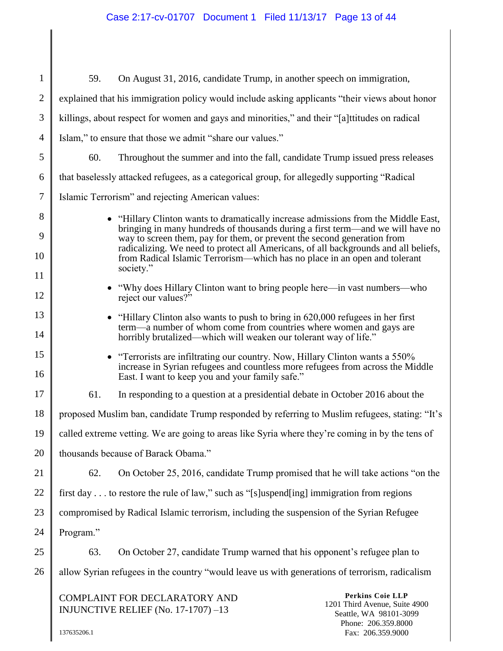# Case 2:17-cv-01707 Document 1 Filed 11/13/17 Page 13 of 44

| $\mathbf{1}$   | 59.<br>On August 31, 2016, candidate Trump, in another speech on immigration,                                                                                                                                                                                                                                                                                                                                                  |  |
|----------------|--------------------------------------------------------------------------------------------------------------------------------------------------------------------------------------------------------------------------------------------------------------------------------------------------------------------------------------------------------------------------------------------------------------------------------|--|
| $\overline{2}$ | explained that his immigration policy would include asking applicants "their views about honor                                                                                                                                                                                                                                                                                                                                 |  |
| 3              | killings, about respect for women and gays and minorities," and their "[a] ttitudes on radical                                                                                                                                                                                                                                                                                                                                 |  |
| $\overline{4}$ | Islam," to ensure that those we admit "share our values."                                                                                                                                                                                                                                                                                                                                                                      |  |
| 5              | 60.<br>Throughout the summer and into the fall, candidate Trump issued press releases                                                                                                                                                                                                                                                                                                                                          |  |
| 6              | that baselessly attacked refugees, as a categorical group, for allegedly supporting "Radical                                                                                                                                                                                                                                                                                                                                   |  |
| $\tau$         | Islamic Terrorism" and rejecting American values:                                                                                                                                                                                                                                                                                                                                                                              |  |
| 8<br>9<br>10   | "Hillary Clinton wants to dramatically increase admissions from the Middle East,<br>bringing in many hundreds of thousands during a first term—and we will have no<br>way to screen them, pay for them, or prevent the second generation from<br>radicalizing. We need to protect all Americans, of all backgrounds and all beliefs,<br>from Radical Islamic Terrorism—which has no place in an open and tolerant<br>society." |  |
| 11<br>12       | "Why does Hillary Clinton want to bring people here—in vast numbers—who<br>reject our values?"                                                                                                                                                                                                                                                                                                                                 |  |
| 13<br>14       | "Hillary Clinton also wants to push to bring in 620,000 refugees in her first<br>term—a number of whom come from countries where women and gays are<br>horribly brutalized—which will weaken our tolerant way of life."                                                                                                                                                                                                        |  |
| 15<br>16       | "Terrorists are infiltrating our country. Now, Hillary Clinton wants a 550%<br>$\bullet$<br>increase in Syrian refugees and countless more refugees from across the Middle<br>East. I want to keep you and your family safe."                                                                                                                                                                                                  |  |
| 17             | 61.<br>In responding to a question at a presidential debate in October 2016 about the                                                                                                                                                                                                                                                                                                                                          |  |
| 18             | proposed Muslim ban, candidate Trump responded by referring to Muslim refugees, stating: "It's                                                                                                                                                                                                                                                                                                                                 |  |
| 19             | called extreme vetting. We are going to areas like Syria where they're coming in by the tens of                                                                                                                                                                                                                                                                                                                                |  |
| 20             | thousands because of Barack Obama."                                                                                                                                                                                                                                                                                                                                                                                            |  |
| 21             | On October 25, 2016, candidate Trump promised that he will take actions "on the<br>62.                                                                                                                                                                                                                                                                                                                                         |  |
| 22             | first day to restore the rule of law," such as "[s]uspend[ing] immigration from regions                                                                                                                                                                                                                                                                                                                                        |  |
| 23             | compromised by Radical Islamic terrorism, including the suspension of the Syrian Refugee                                                                                                                                                                                                                                                                                                                                       |  |
| 24             | Program."                                                                                                                                                                                                                                                                                                                                                                                                                      |  |
| 25             | On October 27, candidate Trump warned that his opponent's refugee plan to<br>63.                                                                                                                                                                                                                                                                                                                                               |  |
| 26             | allow Syrian refugees in the country "would leave us with generations of terrorism, radicalism                                                                                                                                                                                                                                                                                                                                 |  |
|                | Perkins Coie LLP<br><b>COMPLAINT FOR DECLARATORY AND</b><br>1201 Third Avenue, Suite 4900<br>INJUNCTIVE RELIEF (No. 17-1707)-13<br>Seattle, WA 98101-3099<br>Phone: 206.359.8000                                                                                                                                                                                                                                               |  |

Fax: 206.359.9000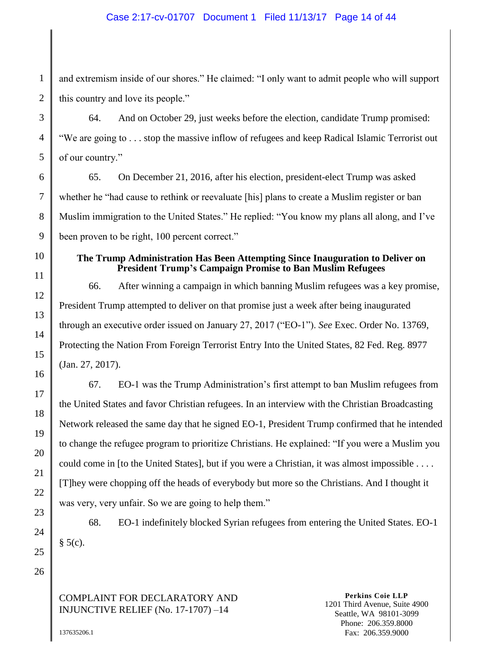## Case 2:17-cv-01707 Document 1 Filed 11/13/17 Page 14 of 44

and extremism inside of our shores." He claimed: "I only want to admit people who will support this country and love its people."

64. And on October 29, just weeks before the election, candidate Trump promised: "We are going to . . . stop the massive inflow of refugees and keep Radical Islamic Terrorist out of our country."

65. On December 21, 2016, after his election, president-elect Trump was asked whether he "had cause to rethink or reevaluate [his] plans to create a Muslim register or ban Muslim immigration to the United States." He replied: "You know my plans all along, and I've been proven to be right, 100 percent correct."

## **The Trump Administration Has Been Attempting Since Inauguration to Deliver on President Trump's Campaign Promise to Ban Muslim Refugees**

66. After winning a campaign in which banning Muslim refugees was a key promise, President Trump attempted to deliver on that promise just a week after being inaugurated through an executive order issued on January 27, 2017 ("EO-1"). *See* Exec. Order No. 13769, Protecting the Nation From Foreign Terrorist Entry Into the United States, 82 Fed. Reg. 8977 (Jan. 27, 2017).

67. EO-1 was the Trump Administration's first attempt to ban Muslim refugees from the United States and favor Christian refugees. In an interview with the Christian Broadcasting Network released the same day that he signed EO-1, President Trump confirmed that he intended to change the refugee program to prioritize Christians. He explained: "If you were a Muslim you could come in [to the United States], but if you were a Christian, it was almost impossible . . . . [T]hey were chopping off the heads of everybody but more so the Christians. And I thought it was very, very unfair. So we are going to help them."

68. EO-1 indefinitely blocked Syrian refugees from entering the United States. EO-1  $§$  5(c).

## COMPLAINT FOR DECLARATORY AND INJUNCTIVE RELIEF (No. 17-1707) –14

**Perkins Coie LLP** 1201 Third Avenue, Suite 4900 Seattle, WA 98101-3099 Phone: 206.359.8000 Fax: 206.359.9000

1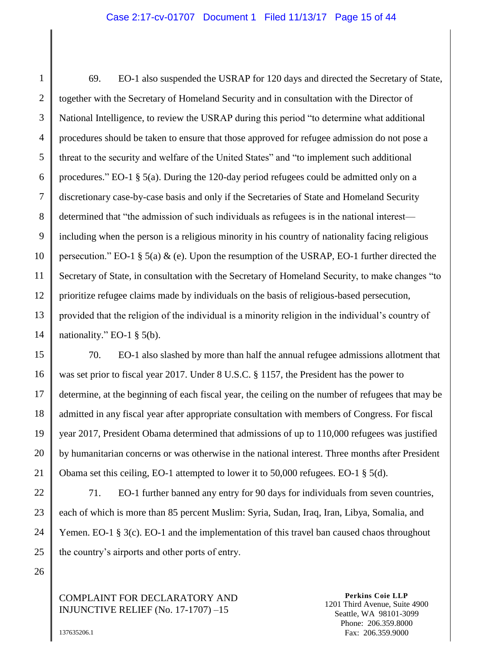## Case 2:17-cv-01707 Document 1 Filed 11/13/17 Page 15 of 44

1 2 3 4 5 6 7 8 9 10 11 12 13 14 69. EO-1 also suspended the USRAP for 120 days and directed the Secretary of State, together with the Secretary of Homeland Security and in consultation with the Director of National Intelligence, to review the USRAP during this period "to determine what additional procedures should be taken to ensure that those approved for refugee admission do not pose a threat to the security and welfare of the United States" and "to implement such additional procedures." EO-1 § 5(a). During the 120-day period refugees could be admitted only on a discretionary case-by-case basis and only if the Secretaries of State and Homeland Security determined that "the admission of such individuals as refugees is in the national interest including when the person is a religious minority in his country of nationality facing religious persecution." EO-1 § 5(a) & (e). Upon the resumption of the USRAP, EO-1 further directed the Secretary of State, in consultation with the Secretary of Homeland Security, to make changes "to prioritize refugee claims made by individuals on the basis of religious-based persecution, provided that the religion of the individual is a minority religion in the individual's country of nationality." EO-1 § 5(b).

15 16 17 18 19 20 21 70. EO-1 also slashed by more than half the annual refugee admissions allotment that was set prior to fiscal year 2017. Under 8 U.S.C. § 1157, the President has the power to determine, at the beginning of each fiscal year, the ceiling on the number of refugees that may be admitted in any fiscal year after appropriate consultation with members of Congress. For fiscal year 2017, President Obama determined that admissions of up to 110,000 refugees was justified by humanitarian concerns or was otherwise in the national interest. Three months after President Obama set this ceiling, EO-1 attempted to lower it to 50,000 refugees. EO-1 § 5(d).

22 23 24 25 71. EO-1 further banned any entry for 90 days for individuals from seven countries, each of which is more than 85 percent Muslim: Syria, Sudan, Iraq, Iran, Libya, Somalia, and Yemen. EO-1 § 3(c). EO-1 and the implementation of this travel ban caused chaos throughout the country's airports and other ports of entry.

COMPLAINT FOR DECLARATORY AND INJUNCTIVE RELIEF (No. 17-1707) –15

**Perkins Coie LLP** 1201 Third Avenue, Suite 4900 Seattle, WA 98101-3099 Phone: 206.359.8000 Fax: 206.359.9000

137635206.1

26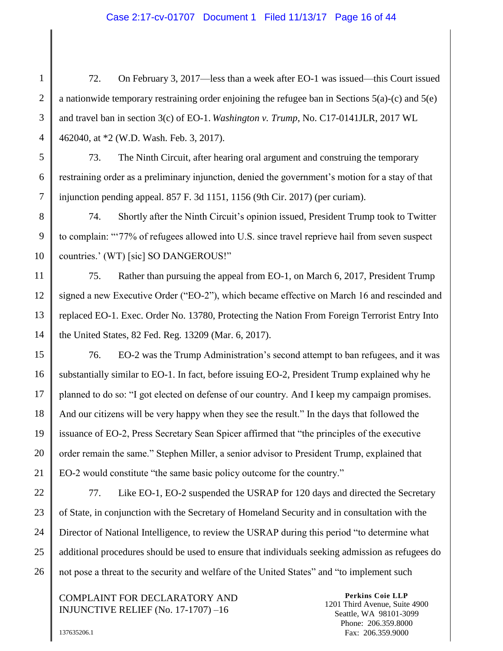#### Case 2:17-cv-01707 Document 1 Filed 11/13/17 Page 16 of 44

1 2 3 4 72. On February 3, 2017—less than a week after EO-1 was issued—this Court issued a nationwide temporary restraining order enjoining the refugee ban in Sections  $5(a)-(c)$  and  $5(e)$ and travel ban in section 3(c) of EO-1. *Washington v. Trump*, No. C17-0141JLR, 2017 WL 462040, at \*2 (W.D. Wash. Feb. 3, 2017).

5 6 7 73. The Ninth Circuit, after hearing oral argument and construing the temporary restraining order as a preliminary injunction, denied the government's motion for a stay of that injunction pending appeal. 857 F. 3d 1151, 1156 (9th Cir. 2017) (per curiam).

8 9 10 74. Shortly after the Ninth Circuit's opinion issued, President Trump took to Twitter to complain: "'77% of refugees allowed into U.S. since travel reprieve hail from seven suspect countries.' (WT) [sic] SO DANGEROUS!"

11 12 13 14 75. Rather than pursuing the appeal from EO-1, on March 6, 2017, President Trump signed a new Executive Order ("EO-2"), which became effective on March 16 and rescinded and replaced EO-1. Exec. Order No. 13780, Protecting the Nation From Foreign Terrorist Entry Into the United States, 82 Fed. Reg. 13209 (Mar. 6, 2017).

15 16 17 18 19 20 21 76. EO-2 was the Trump Administration's second attempt to ban refugees, and it was substantially similar to EO-1. In fact, before issuing EO-2, President Trump explained why he planned to do so: "I got elected on defense of our country. And I keep my campaign promises. And our citizens will be very happy when they see the result." In the days that followed the issuance of EO-2, Press Secretary Sean Spicer affirmed that "the principles of the executive order remain the same." Stephen Miller, a senior advisor to President Trump, explained that EO-2 would constitute "the same basic policy outcome for the country."

22 23 24 25 26 77. Like EO-1, EO-2 suspended the USRAP for 120 days and directed the Secretary of State, in conjunction with the Secretary of Homeland Security and in consultation with the Director of National Intelligence, to review the USRAP during this period "to determine what additional procedures should be used to ensure that individuals seeking admission as refugees do not pose a threat to the security and welfare of the United States" and "to implement such

COMPLAINT FOR DECLARATORY AND INJUNCTIVE RELIEF (No. 17-1707) –16

**Perkins Coie LLP** 1201 Third Avenue, Suite 4900 Seattle, WA 98101-3099 Phone: 206.359.8000 Fax: 206.359.9000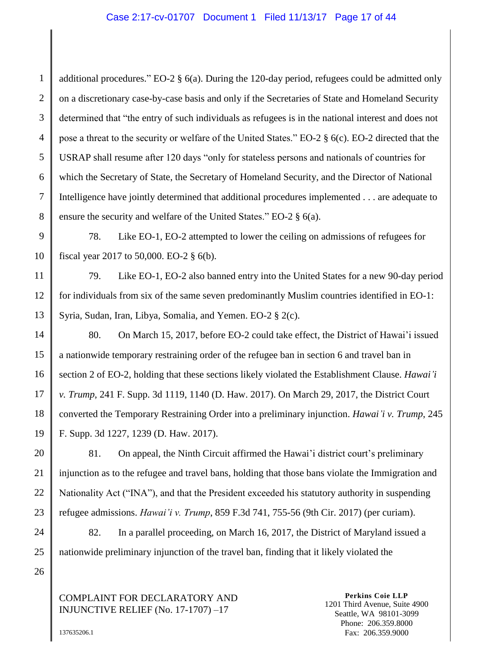### Case 2:17-cv-01707 Document 1 Filed 11/13/17 Page 17 of 44

1 2 3 4 5 6 7 8 additional procedures." EO-2 § 6(a). During the 120-day period, refugees could be admitted only on a discretionary case-by-case basis and only if the Secretaries of State and Homeland Security determined that "the entry of such individuals as refugees is in the national interest and does not pose a threat to the security or welfare of the United States." EO-2 § 6(c). EO-2 directed that the USRAP shall resume after 120 days "only for stateless persons and nationals of countries for which the Secretary of State, the Secretary of Homeland Security, and the Director of National Intelligence have jointly determined that additional procedures implemented . . . are adequate to ensure the security and welfare of the United States." EO-2 § 6(a).

9 10 78. Like EO-1, EO-2 attempted to lower the ceiling on admissions of refugees for fiscal year 2017 to 50,000. EO-2 § 6(b).

11 12 13 79. Like EO-1, EO-2 also banned entry into the United States for a new 90-day period for individuals from six of the same seven predominantly Muslim countries identified in EO-1: Syria, Sudan, Iran, Libya, Somalia, and Yemen. EO-2 § 2(c).

14 15 16 17 18 19 80. On March 15, 2017, before EO-2 could take effect, the District of Hawai'i issued a nationwide temporary restraining order of the refugee ban in section 6 and travel ban in section 2 of EO-2, holding that these sections likely violated the Establishment Clause. *Hawai'i v. Trump*, 241 F. Supp. 3d 1119, 1140 (D. Haw. 2017). On March 29, 2017, the District Court converted the Temporary Restraining Order into a preliminary injunction. *Hawai'i v. Trump*, 245 F. Supp. 3d 1227, 1239 (D. Haw. 2017).

20 21 22 23 81. On appeal, the Ninth Circuit affirmed the Hawai'i district court's preliminary injunction as to the refugee and travel bans, holding that those bans violate the Immigration and Nationality Act ("INA"), and that the President exceeded his statutory authority in suspending refugee admissions. *Hawai'i v. Trump*, 859 F.3d 741, 755-56 (9th Cir. 2017) (per curiam).

24 25 26 82. In a parallel proceeding, on March 16, 2017, the District of Maryland issued a nationwide preliminary injunction of the travel ban, finding that it likely violated the

COMPLAINT FOR DECLARATORY AND INJUNCTIVE RELIEF (No. 17-1707) –17

**Perkins Coie LLP** 1201 Third Avenue, Suite 4900 Seattle, WA 98101-3099 Phone: 206.359.8000 Fax: 206.359.9000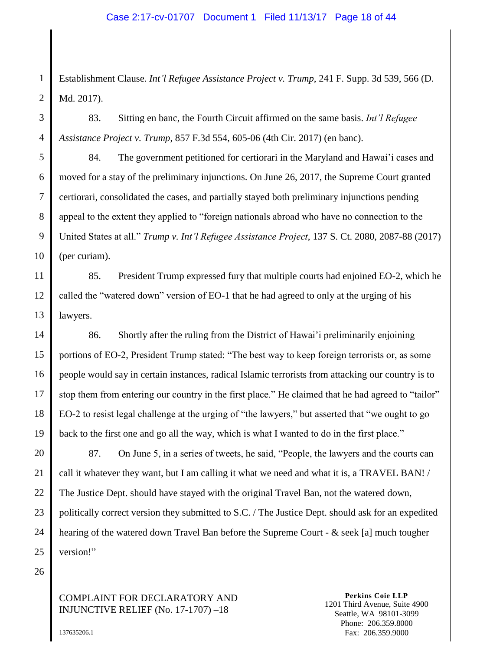#### Case 2:17-cv-01707 Document 1 Filed 11/13/17 Page 18 of 44

1 2 Establishment Clause. *Int'l Refugee Assistance Project v. Trump*, 241 F. Supp. 3d 539, 566 (D. Md. 2017).

3 4 83. Sitting en banc, the Fourth Circuit affirmed on the same basis. *Int'l Refugee Assistance Project v. Trump*, 857 F.3d 554, 605-06 (4th Cir. 2017) (en banc).

5 6 7 8 9 10 84. The government petitioned for certiorari in the Maryland and Hawai'i cases and moved for a stay of the preliminary injunctions. On June 26, 2017, the Supreme Court granted certiorari, consolidated the cases, and partially stayed both preliminary injunctions pending appeal to the extent they applied to "foreign nationals abroad who have no connection to the United States at all." *Trump v. Int'l Refugee Assistance Project*, 137 S. Ct. 2080, 2087-88 (2017) (per curiam).

11 12 13 85. President Trump expressed fury that multiple courts had enjoined EO-2, which he called the "watered down" version of EO-1 that he had agreed to only at the urging of his lawyers.

14 15 16 17 18 19 86. Shortly after the ruling from the District of Hawai'i preliminarily enjoining portions of EO-2, President Trump stated: "The best way to keep foreign terrorists or, as some people would say in certain instances, radical Islamic terrorists from attacking our country is to stop them from entering our country in the first place." He claimed that he had agreed to "tailor" EO-2 to resist legal challenge at the urging of "the lawyers," but asserted that "we ought to go back to the first one and go all the way, which is what I wanted to do in the first place."

20 21 22 23 24 25 87. On June 5, in a series of tweets, he said, "People, the lawyers and the courts can call it whatever they want, but I am calling it what we need and what it is, a TRAVEL BAN! / The Justice Dept. should have stayed with the original Travel Ban, not the watered down, politically correct version they submitted to S.C. / The Justice Dept. should ask for an expedited hearing of the watered down Travel Ban before the Supreme Court - & seek [a] much tougher version!"

26

# COMPLAINT FOR DECLARATORY AND INJUNCTIVE RELIEF (No. 17-1707) –18

**Perkins Coie LLP** 1201 Third Avenue, Suite 4900 Seattle, WA 98101-3099 Phone: 206.359.8000 Fax: 206.359.9000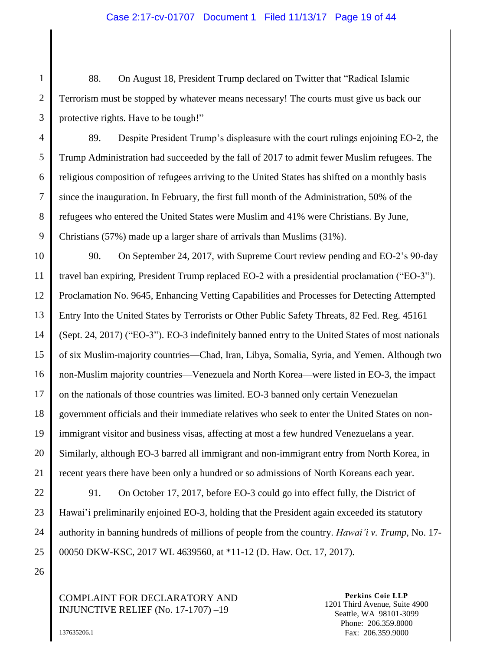## Case 2:17-cv-01707 Document 1 Filed 11/13/17 Page 19 of 44

1 2 3 88. On August 18, President Trump declared on Twitter that "Radical Islamic Terrorism must be stopped by whatever means necessary! The courts must give us back our protective rights. Have to be tough!"

4 5 6 7 8 9 89. Despite President Trump's displeasure with the court rulings enjoining EO-2, the Trump Administration had succeeded by the fall of 2017 to admit fewer Muslim refugees. The religious composition of refugees arriving to the United States has shifted on a monthly basis since the inauguration. In February, the first full month of the Administration, 50% of the refugees who entered the United States were Muslim and 41% were Christians. By June, Christians (57%) made up a larger share of arrivals than Muslims (31%).

10 11 12 13 14 15 16 17 18 19 20 21 90. On September 24, 2017, with Supreme Court review pending and EO-2's 90-day travel ban expiring, President Trump replaced EO-2 with a presidential proclamation ("EO-3"). Proclamation No. 9645, Enhancing Vetting Capabilities and Processes for Detecting Attempted Entry Into the United States by Terrorists or Other Public Safety Threats, 82 Fed. Reg. 45161 (Sept. 24, 2017) ("EO-3"). EO-3 indefinitely banned entry to the United States of most nationals of six Muslim-majority countries—Chad, Iran, Libya, Somalia, Syria, and Yemen. Although two non-Muslim majority countries—Venezuela and North Korea—were listed in EO-3, the impact on the nationals of those countries was limited. EO-3 banned only certain Venezuelan government officials and their immediate relatives who seek to enter the United States on nonimmigrant visitor and business visas, affecting at most a few hundred Venezuelans a year. Similarly, although EO-3 barred all immigrant and non-immigrant entry from North Korea, in recent years there have been only a hundred or so admissions of North Koreans each year.

22 23 24 25 91. On October 17, 2017, before EO-3 could go into effect fully, the District of Hawai'i preliminarily enjoined EO-3, holding that the President again exceeded its statutory authority in banning hundreds of millions of people from the country. *Hawai'i v. Trump*, No. 17- 00050 DKW-KSC, 2017 WL 4639560, at \*11-12 (D. Haw. Oct. 17, 2017).

26

COMPLAINT FOR DECLARATORY AND INJUNCTIVE RELIEF (No. 17-1707) –19

**Perkins Coie LLP** 1201 Third Avenue, Suite 4900 Seattle, WA 98101-3099 Phone: 206.359.8000 Fax: 206.359.9000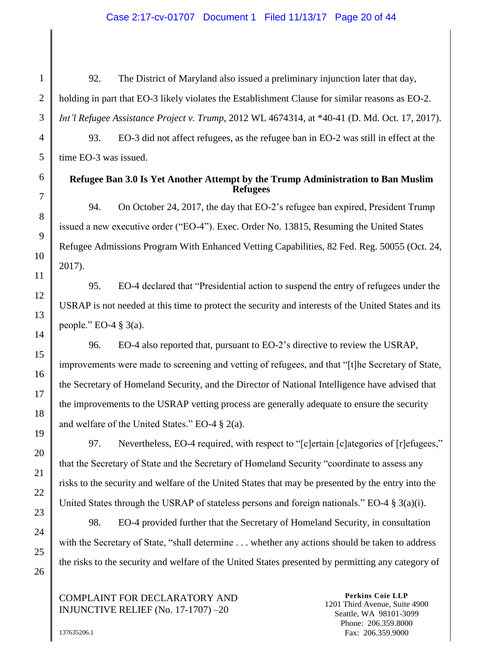# Case 2:17-cv-01707 Document 1 Filed 11/13/17 Page 20 of 44

92. The District of Maryland also issued a preliminary injunction later that day, holding in part that EO-3 likely violates the Establishment Clause for similar reasons as EO-2. *Int'l Refugee Assistance Project v. Trump*, 2012 WL 4674314, at \*40-41 (D. Md. Oct. 17, 2017). 93. EO-3 did not affect refugees, as the refugee ban in EO-2 was still in effect at the

time EO-3 was issued.

## **Refugee Ban 3.0 Is Yet Another Attempt by the Trump Administration to Ban Muslim Refugees**

94. On October 24, 2017, the day that EO-2's refugee ban expired, President Trump issued a new executive order ("EO-4"). Exec. Order No. 13815, Resuming the United States Refugee Admissions Program With Enhanced Vetting Capabilities, 82 Fed. Reg. 50055 (Oct. 24, 2017).

95. EO-4 declared that "Presidential action to suspend the entry of refugees under the USRAP is not needed at this time to protect the security and interests of the United States and its people." EO-4 § 3(a).

96. EO-4 also reported that, pursuant to EO-2's directive to review the USRAP, improvements were made to screening and vetting of refugees, and that "[t]he Secretary of State, the Secretary of Homeland Security, and the Director of National Intelligence have advised that the improvements to the USRAP vetting process are generally adequate to ensure the security and welfare of the United States." EO-4 § 2(a).

97. Nevertheless, EO-4 required, with respect to "[c]ertain [c]ategories of [r]efugees," that the Secretary of State and the Secretary of Homeland Security "coordinate to assess any risks to the security and welfare of the United States that may be presented by the entry into the United States through the USRAP of stateless persons and foreign nationals." EO-4  $\S$  3(a)(i).

98. EO-4 provided further that the Secretary of Homeland Security, in consultation with the Secretary of State, "shall determine . . . whether any actions should be taken to address the risks to the security and welfare of the United States presented by permitting any category of

COMPLAINT FOR DECLARATORY AND INJUNCTIVE RELIEF (No. 17-1707) –20

**Perkins Coie LLP** 1201 Third Avenue, Suite 4900 Seattle, WA 98101-3099 Phone: 206.359.8000 Fax: 206.359.9000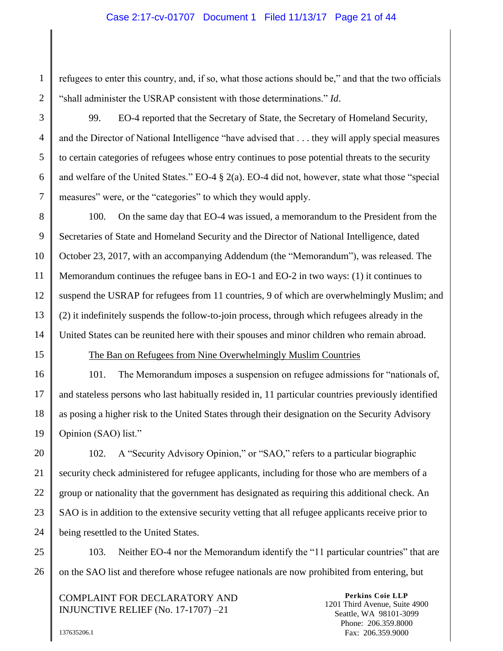#### Case 2:17-cv-01707 Document 1 Filed 11/13/17 Page 21 of 44

refugees to enter this country, and, if so, what those actions should be," and that the two officials "shall administer the USRAP consistent with those determinations." *Id*.

3 4

5

6

7

1

2

99. EO-4 reported that the Secretary of State, the Secretary of Homeland Security, and the Director of National Intelligence "have advised that . . . they will apply special measures to certain categories of refugees whose entry continues to pose potential threats to the security and welfare of the United States."  $EO-4 \tbinom{2}{a}$ . EO-4 did not, however, state what those "special measures" were, or the "categories" to which they would apply.

8 9 10 11 12 13 14 100. On the same day that EO-4 was issued, a memorandum to the President from the Secretaries of State and Homeland Security and the Director of National Intelligence, dated October 23, 2017, with an accompanying Addendum (the "Memorandum"), was released. The Memorandum continues the refugee bans in EO-1 and EO-2 in two ways: (1) it continues to suspend the USRAP for refugees from 11 countries, 9 of which are overwhelmingly Muslim; and (2) it indefinitely suspends the follow-to-join process, through which refugees already in the United States can be reunited here with their spouses and minor children who remain abroad.

15

The Ban on Refugees from Nine Overwhelmingly Muslim Countries

16 17 18 19 101. The Memorandum imposes a suspension on refugee admissions for "nationals of, and stateless persons who last habitually resided in, 11 particular countries previously identified as posing a higher risk to the United States through their designation on the Security Advisory Opinion (SAO) list."

20 21 22 23 24 102. A "Security Advisory Opinion," or "SAO," refers to a particular biographic security check administered for refugee applicants, including for those who are members of a group or nationality that the government has designated as requiring this additional check. An SAO is in addition to the extensive security vetting that all refugee applicants receive prior to being resettled to the United States.

25 26 103. Neither EO-4 nor the Memorandum identify the "11 particular countries" that are on the SAO list and therefore whose refugee nationals are now prohibited from entering, but

COMPLAINT FOR DECLARATORY AND INJUNCTIVE RELIEF (No. 17-1707) –21

**Perkins Coie LLP** 1201 Third Avenue, Suite 4900 Seattle, WA 98101-3099 Phone: 206.359.8000 Fax: 206.359.9000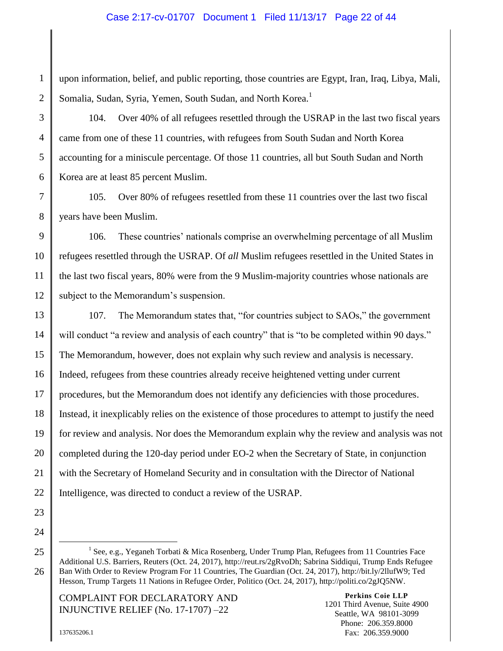## Case 2:17-cv-01707 Document 1 Filed 11/13/17 Page 22 of 44

1 2 upon information, belief, and public reporting, those countries are Egypt, Iran, Iraq, Libya, Mali, Somalia, Sudan, Syria, Yemen, South Sudan, and North Korea.<sup>1</sup>

3 4 5 6 104. Over 40% of all refugees resettled through the USRAP in the last two fiscal years came from one of these 11 countries, with refugees from South Sudan and North Korea accounting for a miniscule percentage. Of those 11 countries, all but South Sudan and North Korea are at least 85 percent Muslim.

7 8 105. Over 80% of refugees resettled from these 11 countries over the last two fiscal years have been Muslim.

9 10 11 12 106. These countries' nationals comprise an overwhelming percentage of all Muslim refugees resettled through the USRAP. Of *all* Muslim refugees resettled in the United States in the last two fiscal years, 80% were from the 9 Muslim-majority countries whose nationals are subject to the Memorandum's suspension.

13 14 15 16 17 18 19 20 21 22 107. The Memorandum states that, "for countries subject to SAOs," the government will conduct "a review and analysis of each country" that is "to be completed within 90 days." The Memorandum, however, does not explain why such review and analysis is necessary. Indeed, refugees from these countries already receive heightened vetting under current procedures, but the Memorandum does not identify any deficiencies with those procedures. Instead, it inexplicably relies on the existence of those procedures to attempt to justify the need for review and analysis. Nor does the Memorandum explain why the review and analysis was not completed during the 120-day period under EO-2 when the Secretary of State, in conjunction with the Secretary of Homeland Security and in consultation with the Director of National Intelligence, was directed to conduct a review of the USRAP.

- 23
- 24

25

 $\overline{a}$ 

26

<sup>1</sup> See, e.g., Yeganeh Torbati & Mica Rosenberg, Under Trump Plan, Refugees from 11 Countries Face Additional U.S. Barriers, Reuters (Oct. 24, 2017), http://reut.rs/2gRvoDh; Sabrina Siddiqui, Trump Ends Refugee Ban With Order to Review Program For 11 Countries, The Guardian (Oct. 24, 2017), http://bit.ly/2llufW9; Ted Hesson, Trump Targets 11 Nations in Refugee Order, Politico (Oct. 24, 2017), http://politi.co/2gJQ5NW.

COMPLAINT FOR DECLARATORY AND INJUNCTIVE RELIEF (No. 17-1707) –22

**Perkins Coie LLP** 1201 Third Avenue, Suite 4900 Seattle, WA 98101-3099 Phone: 206.359.8000 Fax: 206.359.9000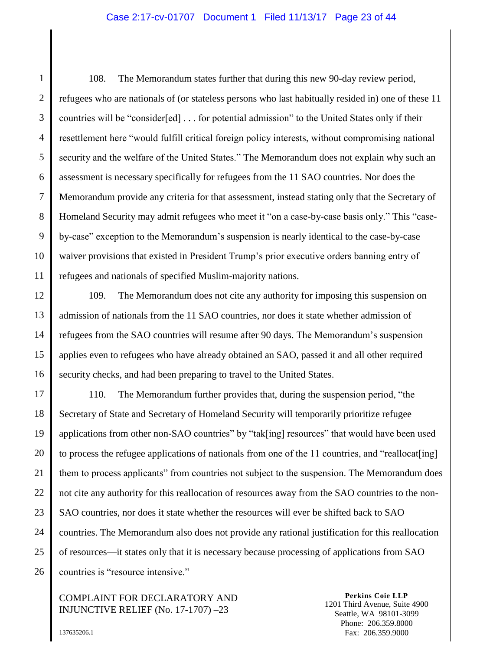#### Case 2:17-cv-01707 Document 1 Filed 11/13/17 Page 23 of 44

1 2 3 4 5 6 7 8 9 10 11 108. The Memorandum states further that during this new 90-day review period, refugees who are nationals of (or stateless persons who last habitually resided in) one of these 11 countries will be "consider[ed] . . . for potential admission" to the United States only if their resettlement here "would fulfill critical foreign policy interests, without compromising national security and the welfare of the United States." The Memorandum does not explain why such an assessment is necessary specifically for refugees from the 11 SAO countries. Nor does the Memorandum provide any criteria for that assessment, instead stating only that the Secretary of Homeland Security may admit refugees who meet it "on a case-by-case basis only." This "caseby-case" exception to the Memorandum's suspension is nearly identical to the case-by-case waiver provisions that existed in President Trump's prior executive orders banning entry of refugees and nationals of specified Muslim-majority nations.

12 13 14 15 16 109. The Memorandum does not cite any authority for imposing this suspension on admission of nationals from the 11 SAO countries, nor does it state whether admission of refugees from the SAO countries will resume after 90 days. The Memorandum's suspension applies even to refugees who have already obtained an SAO, passed it and all other required security checks, and had been preparing to travel to the United States.

17 18 19 20 21 22 23 24 25 26 110. The Memorandum further provides that, during the suspension period, "the Secretary of State and Secretary of Homeland Security will temporarily prioritize refugee applications from other non-SAO countries" by "tak[ing] resources" that would have been used to process the refugee applications of nationals from one of the 11 countries, and "reallocat[ing] them to process applicants" from countries not subject to the suspension. The Memorandum does not cite any authority for this reallocation of resources away from the SAO countries to the non-SAO countries, nor does it state whether the resources will ever be shifted back to SAO countries. The Memorandum also does not provide any rational justification for this reallocation of resources—it states only that it is necessary because processing of applications from SAO countries is "resource intensive."

COMPLAINT FOR DECLARATORY AND INJUNCTIVE RELIEF (No. 17-1707) –23

**Perkins Coie LLP** 1201 Third Avenue, Suite 4900 Seattle, WA 98101-3099 Phone: 206.359.8000 Fax: 206.359.9000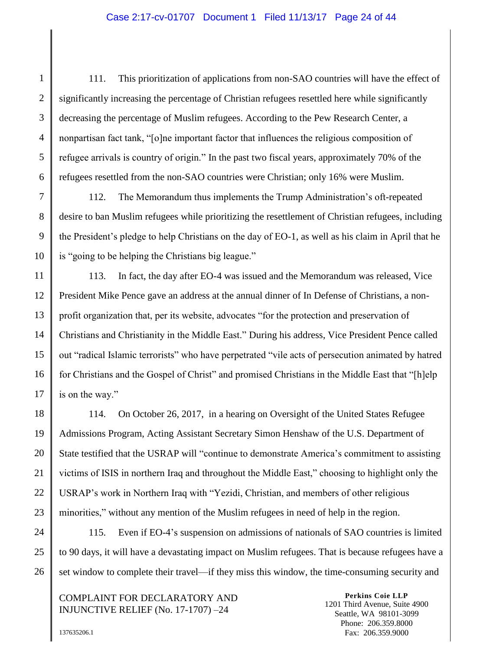## Case 2:17-cv-01707 Document 1 Filed 11/13/17 Page 24 of 44

1 2 3 4 5 6 111. This prioritization of applications from non-SAO countries will have the effect of significantly increasing the percentage of Christian refugees resettled here while significantly decreasing the percentage of Muslim refugees. According to the Pew Research Center, a nonpartisan fact tank, "[o]ne important factor that influences the religious composition of refugee arrivals is country of origin." In the past two fiscal years, approximately 70% of the refugees resettled from the non-SAO countries were Christian; only 16% were Muslim.

7 8 9 10 112. The Memorandum thus implements the Trump Administration's oft-repeated desire to ban Muslim refugees while prioritizing the resettlement of Christian refugees, including the President's pledge to help Christians on the day of EO-1, as well as his claim in April that he is "going to be helping the Christians big league."

11 12 13 14 15 16 17 113. In fact, the day after EO-4 was issued and the Memorandum was released, Vice President Mike Pence gave an address at the annual dinner of In Defense of Christians, a nonprofit organization that, per its website, advocates "for the protection and preservation of Christians and Christianity in the Middle East." During his address, Vice President Pence called out "radical Islamic terrorists" who have perpetrated "vile acts of persecution animated by hatred for Christians and the Gospel of Christ" and promised Christians in the Middle East that "[h]elp is on the way."

18 19 20 21 22 23 114. On October 26, 2017, in a hearing on Oversight of the United States Refugee Admissions Program, Acting Assistant Secretary Simon Henshaw of the U.S. Department of State testified that the USRAP will "continue to demonstrate America's commitment to assisting victims of ISIS in northern Iraq and throughout the Middle East," choosing to highlight only the USRAP's work in Northern Iraq with "Yezidi, Christian, and members of other religious minorities," without any mention of the Muslim refugees in need of help in the region.

24 25 26 115. Even if EO-4's suspension on admissions of nationals of SAO countries is limited to 90 days, it will have a devastating impact on Muslim refugees. That is because refugees have a set window to complete their travel—if they miss this window, the time-consuming security and

COMPLAINT FOR DECLARATORY AND INJUNCTIVE RELIEF (No. 17-1707) –24

**Perkins Coie LLP** 1201 Third Avenue, Suite 4900 Seattle, WA 98101-3099 Phone: 206.359.8000 Fax: 206.359.9000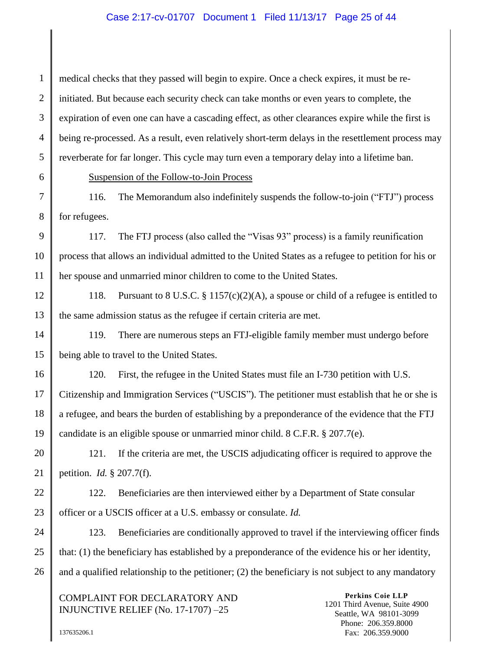## Case 2:17-cv-01707 Document 1 Filed 11/13/17 Page 25 of 44

**Perkins Coie LLP** 1 2 3 4 5 6 7 8 9 10 11 12 13 14 15 16 17 18 19 20 21 22 23 24 25 26 COMPLAINT FOR DECLARATORY AND medical checks that they passed will begin to expire. Once a check expires, it must be reinitiated. But because each security check can take months or even years to complete, the expiration of even one can have a cascading effect, as other clearances expire while the first is being re-processed. As a result, even relatively short-term delays in the resettlement process may reverberate for far longer. This cycle may turn even a temporary delay into a lifetime ban. Suspension of the Follow-to-Join Process 116. The Memorandum also indefinitely suspends the follow-to-join ("FTJ") process for refugees. 117. The FTJ process (also called the "Visas 93" process) is a family reunification process that allows an individual admitted to the United States as a refugee to petition for his or her spouse and unmarried minor children to come to the United States. 118. Pursuant to 8 U.S.C. § 1157(c)(2)(A), a spouse or child of a refugee is entitled to the same admission status as the refugee if certain criteria are met. 119. There are numerous steps an FTJ-eligible family member must undergo before being able to travel to the United States. 120. First, the refugee in the United States must file an I-730 petition with U.S. Citizenship and Immigration Services ("USCIS"). The petitioner must establish that he or she is a refugee, and bears the burden of establishing by a preponderance of the evidence that the FTJ candidate is an eligible spouse or unmarried minor child. 8 C.F.R. § 207.7(e). 121. If the criteria are met, the USCIS adjudicating officer is required to approve the petition. *Id.* § 207.7(f). 122. Beneficiaries are then interviewed either by a Department of State consular officer or a USCIS officer at a U.S. embassy or consulate. *Id.* 123. Beneficiaries are conditionally approved to travel if the interviewing officer finds that: (1) the beneficiary has established by a preponderance of the evidence his or her identity, and a qualified relationship to the petitioner; (2) the beneficiary is not subject to any mandatory

INJUNCTIVE RELIEF (No. 17-1707) –25

1201 Third Avenue, Suite 4900 Seattle, WA 98101-3099 Phone: 206.359.8000 Fax: 206.359.9000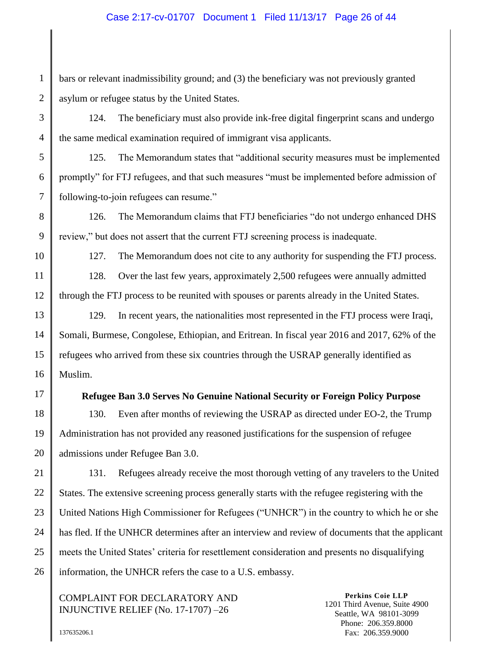### Case 2:17-cv-01707 Document 1 Filed 11/13/17 Page 26 of 44

1 2 bars or relevant inadmissibility ground; and (3) the beneficiary was not previously granted asylum or refugee status by the United States.

3 4 124. The beneficiary must also provide ink-free digital fingerprint scans and undergo the same medical examination required of immigrant visa applicants.

5 6 7 125. The Memorandum states that "additional security measures must be implemented promptly" for FTJ refugees, and that such measures "must be implemented before admission of following-to-join refugees can resume."

8 9 126. The Memorandum claims that FTJ beneficiaries "do not undergo enhanced DHS review," but does not assert that the current FTJ screening process is inadequate.

10 127. The Memorandum does not cite to any authority for suspending the FTJ process.

11 12 128. Over the last few years, approximately 2,500 refugees were annually admitted through the FTJ process to be reunited with spouses or parents already in the United States.

13 14 15 16 129. In recent years, the nationalities most represented in the FTJ process were Iraqi, Somali, Burmese, Congolese, Ethiopian, and Eritrean. In fiscal year 2016 and 2017, 62% of the refugees who arrived from these six countries through the USRAP generally identified as Muslim.

**Refugee Ban 3.0 Serves No Genuine National Security or Foreign Policy Purpose**

18 19 20 130. Even after months of reviewing the USRAP as directed under EO-2, the Trump Administration has not provided any reasoned justifications for the suspension of refugee admissions under Refugee Ban 3.0.

21 22 23 24 25 26 131. Refugees already receive the most thorough vetting of any travelers to the United States. The extensive screening process generally starts with the refugee registering with the United Nations High Commissioner for Refugees ("UNHCR") in the country to which he or she has fled. If the UNHCR determines after an interview and review of documents that the applicant meets the United States' criteria for resettlement consideration and presents no disqualifying information, the UNHCR refers the case to a U.S. embassy.

COMPLAINT FOR DECLARATORY AND INJUNCTIVE RELIEF (No. 17-1707) –26

**Perkins Coie LLP** 1201 Third Avenue, Suite 4900 Seattle, WA 98101-3099 Phone: 206.359.8000 Fax: 206.359.9000

137635206.1

17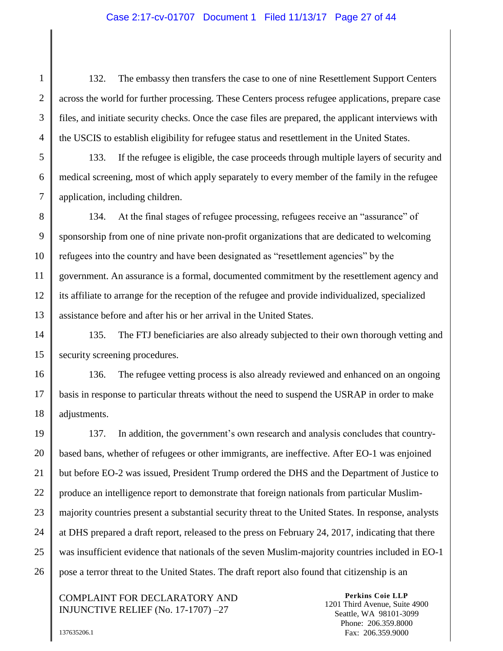#### Case 2:17-cv-01707 Document 1 Filed 11/13/17 Page 27 of 44

1 2 3 4 132. The embassy then transfers the case to one of nine Resettlement Support Centers across the world for further processing. These Centers process refugee applications, prepare case files, and initiate security checks. Once the case files are prepared, the applicant interviews with the USCIS to establish eligibility for refugee status and resettlement in the United States.

5 6 7 133. If the refugee is eligible, the case proceeds through multiple layers of security and medical screening, most of which apply separately to every member of the family in the refugee application, including children.

8 9 10 11 12 13 134. At the final stages of refugee processing, refugees receive an "assurance" of sponsorship from one of nine private non-profit organizations that are dedicated to welcoming refugees into the country and have been designated as "resettlement agencies" by the government. An assurance is a formal, documented commitment by the resettlement agency and its affiliate to arrange for the reception of the refugee and provide individualized, specialized assistance before and after his or her arrival in the United States.

14 15 135. The FTJ beneficiaries are also already subjected to their own thorough vetting and security screening procedures.

16 17 18 136. The refugee vetting process is also already reviewed and enhanced on an ongoing basis in response to particular threats without the need to suspend the USRAP in order to make adjustments.

19 20 21 22 23 24 25 26 137. In addition, the government's own research and analysis concludes that countrybased bans, whether of refugees or other immigrants, are ineffective. After EO-1 was enjoined but before EO-2 was issued, President Trump ordered the DHS and the Department of Justice to produce an intelligence report to demonstrate that foreign nationals from particular Muslimmajority countries present a substantial security threat to the United States. In response, analysts at DHS prepared a draft report, released to the press on February 24, 2017, indicating that there was insufficient evidence that nationals of the seven Muslim-majority countries included in EO-1 pose a terror threat to the United States. The draft report also found that citizenship is an

COMPLAINT FOR DECLARATORY AND INJUNCTIVE RELIEF (No. 17-1707) –27

**Perkins Coie LLP** 1201 Third Avenue, Suite 4900 Seattle, WA 98101-3099 Phone: 206.359.8000 Fax: 206.359.9000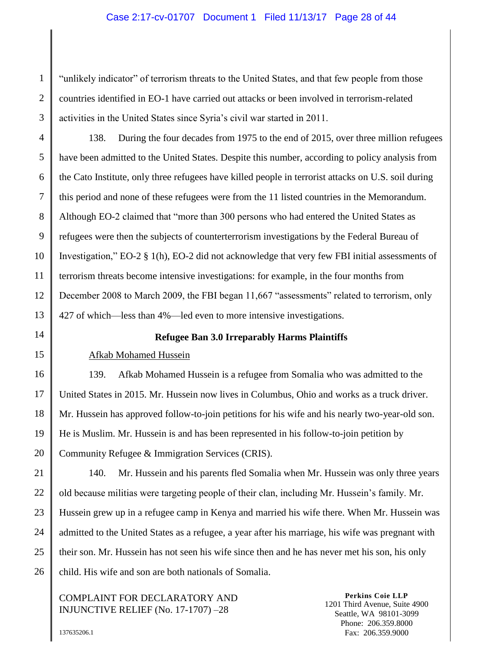## Case 2:17-cv-01707 Document 1 Filed 11/13/17 Page 28 of 44

1 2 3 "unlikely indicator" of terrorism threats to the United States, and that few people from those countries identified in EO-1 have carried out attacks or been involved in terrorism-related activities in the United States since Syria's civil war started in 2011.

4 5 6 7 8 9 10 11 12 13 138. During the four decades from 1975 to the end of 2015, over three million refugees have been admitted to the United States. Despite this number, according to policy analysis from the Cato Institute, only three refugees have killed people in terrorist attacks on U.S. soil during this period and none of these refugees were from the 11 listed countries in the Memorandum. Although EO-2 claimed that "more than 300 persons who had entered the United States as refugees were then the subjects of counterterrorism investigations by the Federal Bureau of Investigation," EO-2 § 1(h), EO-2 did not acknowledge that very few FBI initial assessments of terrorism threats become intensive investigations: for example, in the four months from December 2008 to March 2009, the FBI began 11,667 "assessments" related to terrorism, only 427 of which—less than 4%—led even to more intensive investigations.

14

15

#### **Refugee Ban 3.0 Irreparably Harms Plaintiffs**

### Afkab Mohamed Hussein

16 17 18 19 20 139. Afkab Mohamed Hussein is a refugee from Somalia who was admitted to the United States in 2015. Mr. Hussein now lives in Columbus, Ohio and works as a truck driver. Mr. Hussein has approved follow-to-join petitions for his wife and his nearly two-year-old son. He is Muslim. Mr. Hussein is and has been represented in his follow-to-join petition by Community Refugee & Immigration Services (CRIS).

21 22 23 24 25 26 140. Mr. Hussein and his parents fled Somalia when Mr. Hussein was only three years old because militias were targeting people of their clan, including Mr. Hussein's family. Mr. Hussein grew up in a refugee camp in Kenya and married his wife there. When Mr. Hussein was admitted to the United States as a refugee, a year after his marriage, his wife was pregnant with their son. Mr. Hussein has not seen his wife since then and he has never met his son, his only child. His wife and son are both nationals of Somalia.

COMPLAINT FOR DECLARATORY AND INJUNCTIVE RELIEF (No. 17-1707) –28

**Perkins Coie LLP** 1201 Third Avenue, Suite 4900 Seattle, WA 98101-3099 Phone: 206.359.8000 Fax: 206.359.9000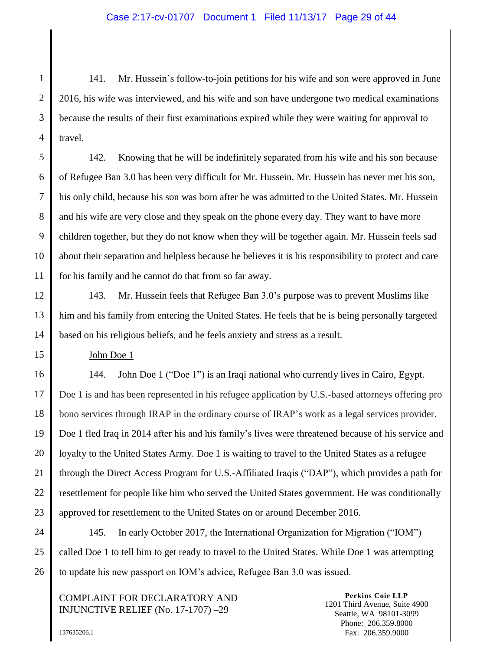## Case 2:17-cv-01707 Document 1 Filed 11/13/17 Page 29 of 44

1 2 3 4 141. Mr. Hussein's follow-to-join petitions for his wife and son were approved in June 2016, his wife was interviewed, and his wife and son have undergone two medical examinations because the results of their first examinations expired while they were waiting for approval to travel.

5 6 7 8 9 10 11 142. Knowing that he will be indefinitely separated from his wife and his son because of Refugee Ban 3.0 has been very difficult for Mr. Hussein. Mr. Hussein has never met his son, his only child, because his son was born after he was admitted to the United States. Mr. Hussein and his wife are very close and they speak on the phone every day. They want to have more children together, but they do not know when they will be together again. Mr. Hussein feels sad about their separation and helpless because he believes it is his responsibility to protect and care for his family and he cannot do that from so far away.

12 13 14 143. Mr. Hussein feels that Refugee Ban 3.0's purpose was to prevent Muslims like him and his family from entering the United States. He feels that he is being personally targeted based on his religious beliefs, and he feels anxiety and stress as a result.

John Doe 1

15

16 17 18 19 20 21 22 23 144. John Doe 1 ("Doe 1") is an Iraqi national who currently lives in Cairo, Egypt. Doe 1 is and has been represented in his refugee application by U.S.-based attorneys offering pro bono services through IRAP in the ordinary course of IRAP's work as a legal services provider. Doe 1 fled Iraq in 2014 after his and his family's lives were threatened because of his service and loyalty to the United States Army. Doe 1 is waiting to travel to the United States as a refugee through the Direct Access Program for U.S.-Affiliated Iraqis ("DAP"), which provides a path for resettlement for people like him who served the United States government. He was conditionally approved for resettlement to the United States on or around December 2016.

24 25 26 145. In early October 2017, the International Organization for Migration ("IOM") called Doe 1 to tell him to get ready to travel to the United States. While Doe 1 was attempting to update his new passport on IOM's advice, Refugee Ban 3.0 was issued.

COMPLAINT FOR DECLARATORY AND INJUNCTIVE RELIEF (No. 17-1707) –29

**Perkins Coie LLP** 1201 Third Avenue, Suite 4900 Seattle, WA 98101-3099 Phone: 206.359.8000 Fax: 206.359.9000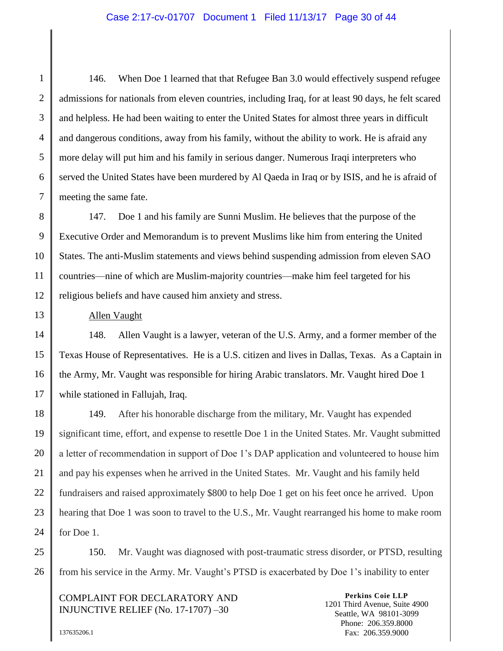#### Case 2:17-cv-01707 Document 1 Filed 11/13/17 Page 30 of 44

1 2 3 4 5 6 7 146. When Doe 1 learned that that Refugee Ban 3.0 would effectively suspend refugee admissions for nationals from eleven countries, including Iraq, for at least 90 days, he felt scared and helpless. He had been waiting to enter the United States for almost three years in difficult and dangerous conditions, away from his family, without the ability to work. He is afraid any more delay will put him and his family in serious danger. Numerous Iraqi interpreters who served the United States have been murdered by Al Qaeda in Iraq or by ISIS, and he is afraid of meeting the same fate.

8 9 10 11 12 147. Doe 1 and his family are Sunni Muslim. He believes that the purpose of the Executive Order and Memorandum is to prevent Muslims like him from entering the United States. The anti-Muslim statements and views behind suspending admission from eleven SAO countries—nine of which are Muslim-majority countries—make him feel targeted for his religious beliefs and have caused him anxiety and stress.

Allen Vaught

13

14 15 16 17 148. Allen Vaught is a lawyer, veteran of the U.S. Army, and a former member of the Texas House of Representatives. He is a U.S. citizen and lives in Dallas, Texas. As a Captain in the Army, Mr. Vaught was responsible for hiring Arabic translators. Mr. Vaught hired Doe 1 while stationed in Fallujah, Iraq.

18 19 20 21 22 23 24 149. After his honorable discharge from the military, Mr. Vaught has expended significant time, effort, and expense to resettle Doe 1 in the United States. Mr. Vaught submitted a letter of recommendation in support of Doe 1's DAP application and volunteered to house him and pay his expenses when he arrived in the United States. Mr. Vaught and his family held fundraisers and raised approximately \$800 to help Doe 1 get on his feet once he arrived. Upon hearing that Doe 1 was soon to travel to the U.S., Mr. Vaught rearranged his home to make room for Doe 1.

25 26 150. Mr. Vaught was diagnosed with post-traumatic stress disorder, or PTSD, resulting from his service in the Army. Mr. Vaught's PTSD is exacerbated by Doe 1's inability to enter

COMPLAINT FOR DECLARATORY AND INJUNCTIVE RELIEF (No. 17-1707) –30

**Perkins Coie LLP** 1201 Third Avenue, Suite 4900 Seattle, WA 98101-3099 Phone: 206.359.8000 Fax: 206.359.9000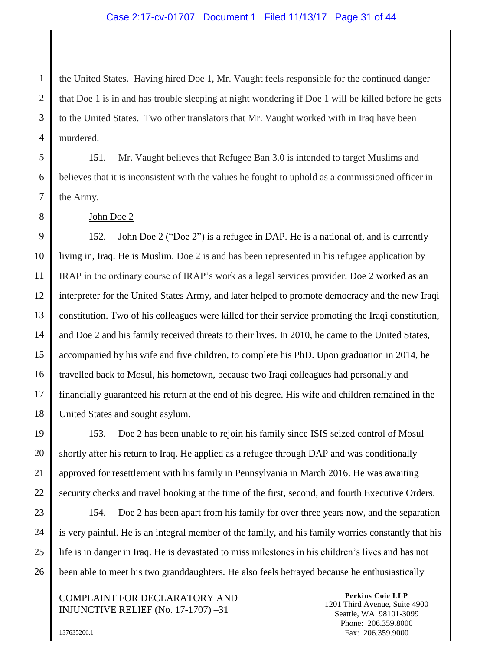#### Case 2:17-cv-01707 Document 1 Filed 11/13/17 Page 31 of 44

1 2 3 4 the United States. Having hired Doe 1, Mr. Vaught feels responsible for the continued danger that Doe 1 is in and has trouble sleeping at night wondering if Doe 1 will be killed before he gets to the United States. Two other translators that Mr. Vaught worked with in Iraq have been murdered.

5 6 7 151. Mr. Vaught believes that Refugee Ban 3.0 is intended to target Muslims and believes that it is inconsistent with the values he fought to uphold as a commissioned officer in the Army.

8

### John Doe 2

9 10 11 12 13 14 15 16 17 18 152. John Doe 2 ("Doe 2") is a refugee in DAP. He is a national of, and is currently living in, Iraq. He is Muslim. Doe 2 is and has been represented in his refugee application by IRAP in the ordinary course of IRAP's work as a legal services provider. Doe 2 worked as an interpreter for the United States Army, and later helped to promote democracy and the new Iraqi constitution. Two of his colleagues were killed for their service promoting the Iraqi constitution, and Doe 2 and his family received threats to their lives. In 2010, he came to the United States, accompanied by his wife and five children, to complete his PhD. Upon graduation in 2014, he travelled back to Mosul, his hometown, because two Iraqi colleagues had personally and financially guaranteed his return at the end of his degree. His wife and children remained in the United States and sought asylum.

19 20 21 22 153. Doe 2 has been unable to rejoin his family since ISIS seized control of Mosul shortly after his return to Iraq. He applied as a refugee through DAP and was conditionally approved for resettlement with his family in Pennsylvania in March 2016. He was awaiting security checks and travel booking at the time of the first, second, and fourth Executive Orders.

23 24 25 26 154. Doe 2 has been apart from his family for over three years now, and the separation is very painful. He is an integral member of the family, and his family worries constantly that his life is in danger in Iraq. He is devastated to miss milestones in his children's lives and has not been able to meet his two granddaughters. He also feels betrayed because he enthusiastically

COMPLAINT FOR DECLARATORY AND INJUNCTIVE RELIEF (No. 17-1707) –31

**Perkins Coie LLP** 1201 Third Avenue, Suite 4900 Seattle, WA 98101-3099 Phone: 206.359.8000 Fax: 206.359.9000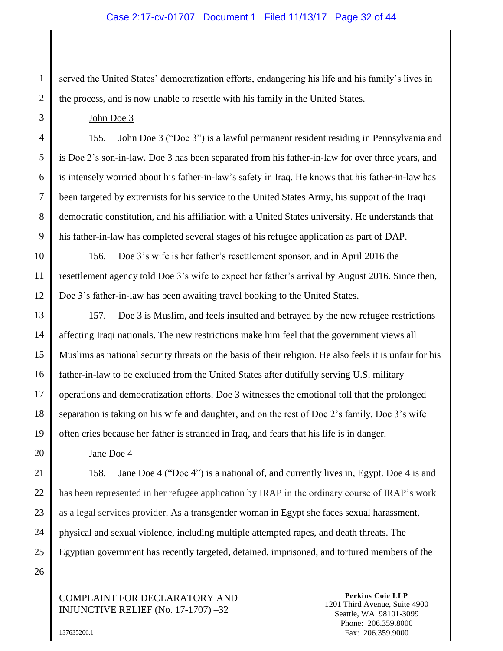#### Case 2:17-cv-01707 Document 1 Filed 11/13/17 Page 32 of 44

served the United States' democratization efforts, endangering his life and his family's lives in the process, and is now unable to resettle with his family in the United States.

John Doe 3

1

2

3

4 5 6 7 8 9 155. John Doe 3 ("Doe 3") is a lawful permanent resident residing in Pennsylvania and is Doe 2's son-in-law. Doe 3 has been separated from his father-in-law for over three years, and is intensely worried about his father-in-law's safety in Iraq. He knows that his father-in-law has been targeted by extremists for his service to the United States Army, his support of the Iraqi democratic constitution, and his affiliation with a United States university. He understands that his father-in-law has completed several stages of his refugee application as part of DAP.

10 11 12 156. Doe 3's wife is her father's resettlement sponsor, and in April 2016 the resettlement agency told Doe 3's wife to expect her father's arrival by August 2016. Since then, Doe 3's father-in-law has been awaiting travel booking to the United States.

13 14 15 16 17 18 19 157. Doe 3 is Muslim, and feels insulted and betrayed by the new refugee restrictions affecting Iraqi nationals. The new restrictions make him feel that the government views all Muslims as national security threats on the basis of their religion. He also feels it is unfair for his father-in-law to be excluded from the United States after dutifully serving U.S. military operations and democratization efforts. Doe 3 witnesses the emotional toll that the prolonged separation is taking on his wife and daughter, and on the rest of Doe 2's family. Doe 3's wife often cries because her father is stranded in Iraq, and fears that his life is in danger.

Jane Doe 4

20

21 22 23 24 25 26 158. Jane Doe 4 ("Doe 4") is a national of, and currently lives in, Egypt. Doe 4 is and has been represented in her refugee application by IRAP in the ordinary course of IRAP's work as a legal services provider. As a transgender woman in Egypt she faces sexual harassment, physical and sexual violence, including multiple attempted rapes, and death threats. The Egyptian government has recently targeted, detained, imprisoned, and tortured members of the

# COMPLAINT FOR DECLARATORY AND INJUNCTIVE RELIEF (No. 17-1707) –32

**Perkins Coie LLP** 1201 Third Avenue, Suite 4900 Seattle, WA 98101-3099 Phone: 206.359.8000 Fax: 206.359.9000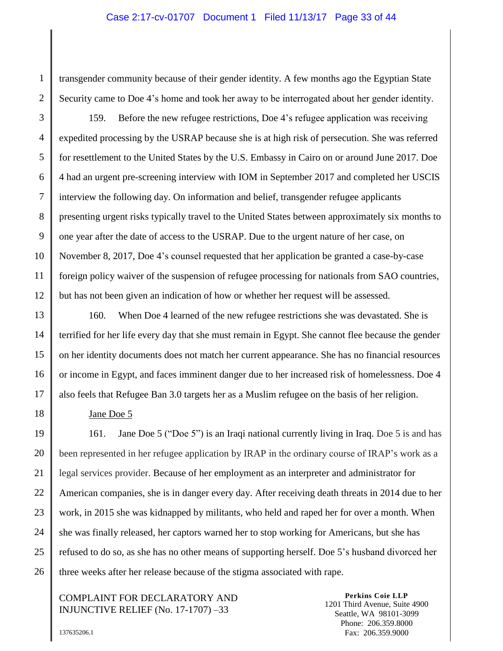#### Case 2:17-cv-01707 Document 1 Filed 11/13/17 Page 33 of 44

transgender community because of their gender identity. A few months ago the Egyptian State Security came to Doe 4's home and took her away to be interrogated about her gender identity.

3 4 5 6 7 8 9 10 11 12 159. Before the new refugee restrictions, Doe 4's refugee application was receiving expedited processing by the USRAP because she is at high risk of persecution. She was referred for resettlement to the United States by the U.S. Embassy in Cairo on or around June 2017. Doe 4 had an urgent pre-screening interview with IOM in September 2017 and completed her USCIS interview the following day. On information and belief, transgender refugee applicants presenting urgent risks typically travel to the United States between approximately six months to one year after the date of access to the USRAP. Due to the urgent nature of her case, on November 8, 2017, Doe 4's counsel requested that her application be granted a case-by-case foreign policy waiver of the suspension of refugee processing for nationals from SAO countries, but has not been given an indication of how or whether her request will be assessed.

13 14 15 16 17 160. When Doe 4 learned of the new refugee restrictions she was devastated. She is terrified for her life every day that she must remain in Egypt. She cannot flee because the gender on her identity documents does not match her current appearance. She has no financial resources or income in Egypt, and faces imminent danger due to her increased risk of homelessness. Doe 4 also feels that Refugee Ban 3.0 targets her as a Muslim refugee on the basis of her religion.

Jane Doe 5

18

1

2

19 20 21 22 23 24 25 26 161. Jane Doe 5 ("Doe 5") is an Iraqi national currently living in Iraq. Doe 5 is and has been represented in her refugee application by IRAP in the ordinary course of IRAP's work as a legal services provider. Because of her employment as an interpreter and administrator for American companies, she is in danger every day. After receiving death threats in 2014 due to her work, in 2015 she was kidnapped by militants, who held and raped her for over a month. When she was finally released, her captors warned her to stop working for Americans, but she has refused to do so, as she has no other means of supporting herself. Doe 5's husband divorced her three weeks after her release because of the stigma associated with rape.

COMPLAINT FOR DECLARATORY AND INJUNCTIVE RELIEF (No. 17-1707) –33

**Perkins Coie LLP** 1201 Third Avenue, Suite 4900 Seattle, WA 98101-3099 Phone: 206.359.8000 Fax: 206.359.9000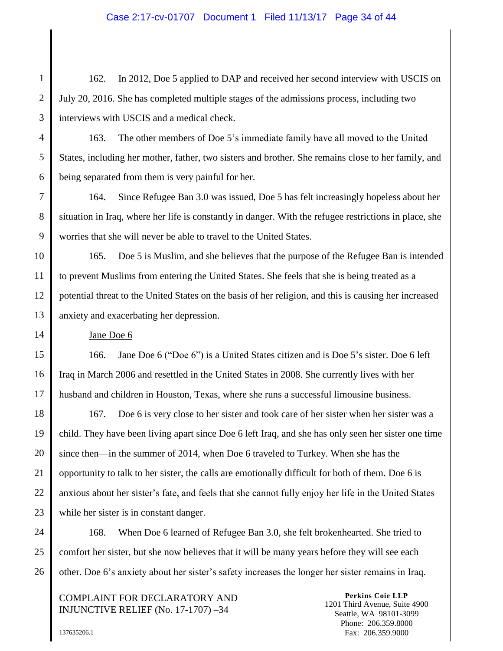### Case 2:17-cv-01707 Document 1 Filed 11/13/17 Page 34 of 44

1 2 3 162. In 2012, Doe 5 applied to DAP and received her second interview with USCIS on July 20, 2016. She has completed multiple stages of the admissions process, including two interviews with USCIS and a medical check.

4 5 6 163. The other members of Doe 5's immediate family have all moved to the United States, including her mother, father, two sisters and brother. She remains close to her family, and being separated from them is very painful for her.

7 8 9 164. Since Refugee Ban 3.0 was issued, Doe 5 has felt increasingly hopeless about her situation in Iraq, where her life is constantly in danger. With the refugee restrictions in place, she worries that she will never be able to travel to the United States.

10 11 12 13 165. Doe 5 is Muslim, and she believes that the purpose of the Refugee Ban is intended to prevent Muslims from entering the United States. She feels that she is being treated as a potential threat to the United States on the basis of her religion, and this is causing her increased anxiety and exacerbating her depression.

Jane Doe 6

14

15 16 17 166. Jane Doe 6 ("Doe 6") is a United States citizen and is Doe 5's sister. Doe 6 left Iraq in March 2006 and resettled in the United States in 2008. She currently lives with her husband and children in Houston, Texas, where she runs a successful limousine business.

18 19 20 21 22 23 167. Doe 6 is very close to her sister and took care of her sister when her sister was a child. They have been living apart since Doe 6 left Iraq, and she has only seen her sister one time since then—in the summer of 2014, when Doe 6 traveled to Turkey. When she has the opportunity to talk to her sister, the calls are emotionally difficult for both of them. Doe 6 is anxious about her sister's fate, and feels that she cannot fully enjoy her life in the United States while her sister is in constant danger.

24 25 26 168. When Doe 6 learned of Refugee Ban 3.0, she felt brokenhearted. She tried to comfort her sister, but she now believes that it will be many years before they will see each other. Doe 6's anxiety about her sister's safety increases the longer her sister remains in Iraq.

COMPLAINT FOR DECLARATORY AND INJUNCTIVE RELIEF (No. 17-1707) –34

**Perkins Coie LLP** 1201 Third Avenue, Suite 4900 Seattle, WA 98101-3099 Phone: 206.359.8000 Fax: 206.359.9000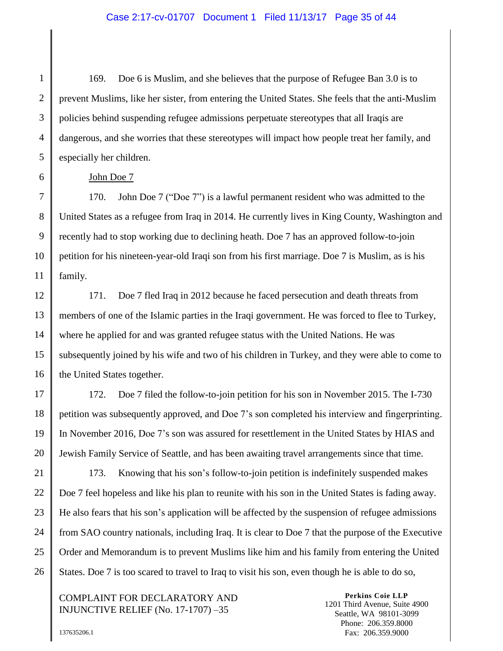### Case 2:17-cv-01707 Document 1 Filed 11/13/17 Page 35 of 44

1 2 3 4 5 169. Doe 6 is Muslim, and she believes that the purpose of Refugee Ban 3.0 is to prevent Muslims, like her sister, from entering the United States. She feels that the anti-Muslim policies behind suspending refugee admissions perpetuate stereotypes that all Iraqis are dangerous, and she worries that these stereotypes will impact how people treat her family, and especially her children.

#### 6

# John Doe 7

7 8 9 10 11 170. John Doe 7 ("Doe 7") is a lawful permanent resident who was admitted to the United States as a refugee from Iraq in 2014. He currently lives in King County, Washington and recently had to stop working due to declining heath. Doe 7 has an approved follow-to-join petition for his nineteen-year-old Iraqi son from his first marriage. Doe 7 is Muslim, as is his family.

12 13 14 15 16 171. Doe 7 fled Iraq in 2012 because he faced persecution and death threats from members of one of the Islamic parties in the Iraqi government. He was forced to flee to Turkey, where he applied for and was granted refugee status with the United Nations. He was subsequently joined by his wife and two of his children in Turkey, and they were able to come to the United States together.

17 18 19 20 172. Doe 7 filed the follow-to-join petition for his son in November 2015. The I-730 petition was subsequently approved, and Doe 7's son completed his interview and fingerprinting. In November 2016, Doe 7's son was assured for resettlement in the United States by HIAS and Jewish Family Service of Seattle, and has been awaiting travel arrangements since that time.

21 22 23 24 25 26 173. Knowing that his son's follow-to-join petition is indefinitely suspended makes Doe 7 feel hopeless and like his plan to reunite with his son in the United States is fading away. He also fears that his son's application will be affected by the suspension of refugee admissions from SAO country nationals, including Iraq. It is clear to Doe 7 that the purpose of the Executive Order and Memorandum is to prevent Muslims like him and his family from entering the United States. Doe 7 is too scared to travel to Iraq to visit his son, even though he is able to do so,

COMPLAINT FOR DECLARATORY AND INJUNCTIVE RELIEF (No. 17-1707) –35

**Perkins Coie LLP** 1201 Third Avenue, Suite 4900 Seattle, WA 98101-3099 Phone: 206.359.8000 Fax: 206.359.9000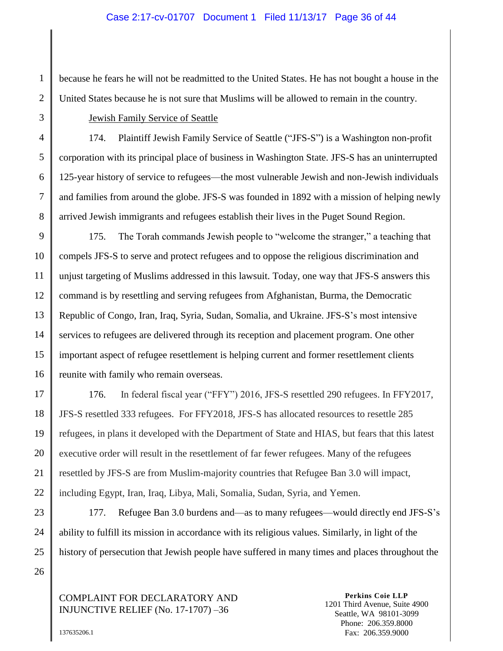#### Case 2:17-cv-01707 Document 1 Filed 11/13/17 Page 36 of 44

because he fears he will not be readmitted to the United States. He has not bought a house in the United States because he is not sure that Muslims will be allowed to remain in the country.

3 4 5

7

1

2

Jewish Family Service of Seattle

6 8 174. Plaintiff Jewish Family Service of Seattle ("JFS-S") is a Washington non-profit corporation with its principal place of business in Washington State. JFS-S has an uninterrupted 125-year history of service to refugees—the most vulnerable Jewish and non-Jewish individuals and families from around the globe. JFS-S was founded in 1892 with a mission of helping newly arrived Jewish immigrants and refugees establish their lives in the Puget Sound Region.

9 10 11 12 13 14 15 16 175. The Torah commands Jewish people to "welcome the stranger," a teaching that compels JFS-S to serve and protect refugees and to oppose the religious discrimination and unjust targeting of Muslims addressed in this lawsuit. Today, one way that JFS-S answers this command is by resettling and serving refugees from Afghanistan, Burma, the Democratic Republic of Congo, Iran, Iraq, Syria, Sudan, Somalia, and Ukraine. JFS-S's most intensive services to refugees are delivered through its reception and placement program. One other important aspect of refugee resettlement is helping current and former resettlement clients reunite with family who remain overseas.

17 18 19 20 21 22 176. In federal fiscal year ("FFY") 2016, JFS-S resettled 290 refugees. In FFY2017, JFS-S resettled 333 refugees. For FFY2018, JFS-S has allocated resources to resettle 285 refugees, in plans it developed with the Department of State and HIAS, but fears that this latest executive order will result in the resettlement of far fewer refugees. Many of the refugees resettled by JFS-S are from Muslim-majority countries that Refugee Ban 3.0 will impact, including Egypt, Iran, Iraq, Libya, Mali, Somalia, Sudan, Syria, and Yemen.

23 24 25 26 177. Refugee Ban 3.0 burdens and—as to many refugees—would directly end JFS-S's ability to fulfill its mission in accordance with its religious values. Similarly, in light of the history of persecution that Jewish people have suffered in many times and places throughout the

COMPLAINT FOR DECLARATORY AND INJUNCTIVE RELIEF (No. 17-1707) –36

**Perkins Coie LLP** 1201 Third Avenue, Suite 4900 Seattle, WA 98101-3099 Phone: 206.359.8000 Fax: 206.359.9000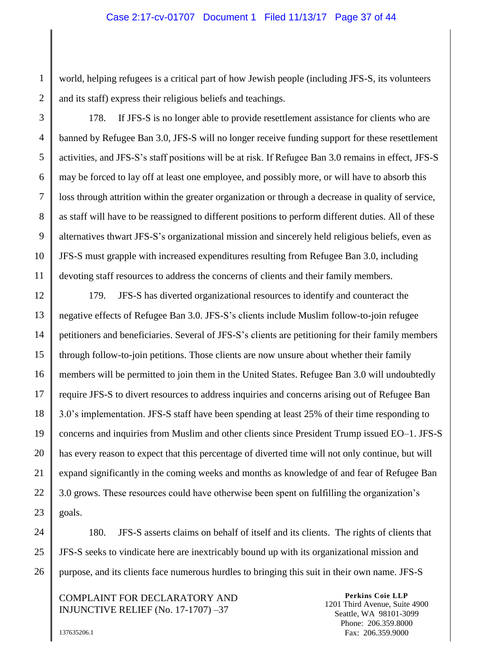#### Case 2:17-cv-01707 Document 1 Filed 11/13/17 Page 37 of 44

2 world, helping refugees is a critical part of how Jewish people (including JFS-S, its volunteers and its staff) express their religious beliefs and teachings.

3 4 5 6 7 8 9 10 11 178. If JFS-S is no longer able to provide resettlement assistance for clients who are banned by Refugee Ban 3.0, JFS-S will no longer receive funding support for these resettlement activities, and JFS-S's staff positions will be at risk. If Refugee Ban 3.0 remains in effect, JFS-S may be forced to lay off at least one employee, and possibly more, or will have to absorb this loss through attrition within the greater organization or through a decrease in quality of service, as staff will have to be reassigned to different positions to perform different duties. All of these alternatives thwart JFS-S's organizational mission and sincerely held religious beliefs, even as JFS-S must grapple with increased expenditures resulting from Refugee Ban 3.0, including devoting staff resources to address the concerns of clients and their family members.

12 13 14 15 16 17 18 19 20 21 22 23 179. JFS-S has diverted organizational resources to identify and counteract the negative effects of Refugee Ban 3.0. JFS-S's clients include Muslim follow-to-join refugee petitioners and beneficiaries. Several of JFS-S's clients are petitioning for their family members through follow-to-join petitions. Those clients are now unsure about whether their family members will be permitted to join them in the United States. Refugee Ban 3.0 will undoubtedly require JFS-S to divert resources to address inquiries and concerns arising out of Refugee Ban 3.0's implementation. JFS-S staff have been spending at least 25% of their time responding to concerns and inquiries from Muslim and other clients since President Trump issued EO–1. JFS-S has every reason to expect that this percentage of diverted time will not only continue, but will expand significantly in the coming weeks and months as knowledge of and fear of Refugee Ban 3.0 grows. These resources could have otherwise been spent on fulfilling the organization's goals.

24 25 26 180. JFS-S asserts claims on behalf of itself and its clients. The rights of clients that JFS-S seeks to vindicate here are inextricably bound up with its organizational mission and purpose, and its clients face numerous hurdles to bringing this suit in their own name. JFS-S

COMPLAINT FOR DECLARATORY AND INJUNCTIVE RELIEF (No. 17-1707) –37

**Perkins Coie LLP** 1201 Third Avenue, Suite 4900 Seattle, WA 98101-3099 Phone: 206.359.8000 Fax: 206.359.9000

137635206.1

1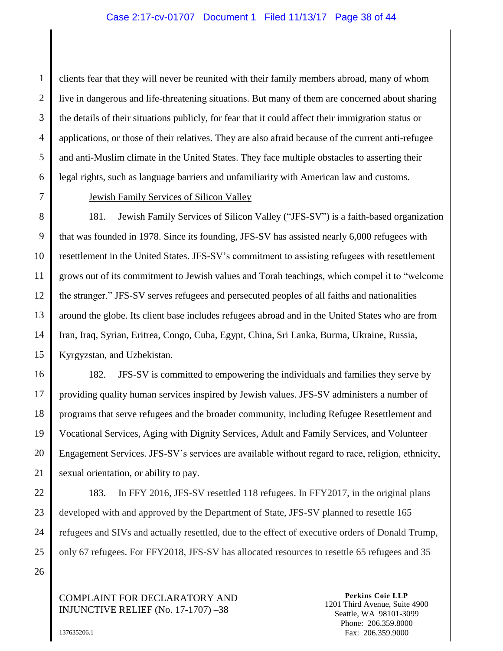## Case 2:17-cv-01707 Document 1 Filed 11/13/17 Page 38 of 44

1 2 3 4 5 6 clients fear that they will never be reunited with their family members abroad, many of whom live in dangerous and life-threatening situations. But many of them are concerned about sharing the details of their situations publicly, for fear that it could affect their immigration status or applications, or those of their relatives. They are also afraid because of the current anti-refugee and anti-Muslim climate in the United States. They face multiple obstacles to asserting their legal rights, such as language barriers and unfamiliarity with American law and customs.

7

## Jewish Family Services of Silicon Valley

8 9 10 11 12 13 14 15 181. Jewish Family Services of Silicon Valley ("JFS-SV") is a faith-based organization that was founded in 1978. Since its founding, JFS-SV has assisted nearly 6,000 refugees with resettlement in the United States. JFS-SV's commitment to assisting refugees with resettlement grows out of its commitment to Jewish values and Torah teachings, which compel it to "welcome the stranger." JFS-SV serves refugees and persecuted peoples of all faiths and nationalities around the globe. Its client base includes refugees abroad and in the United States who are from Iran, Iraq, Syrian, Eritrea, Congo, Cuba, Egypt, China, Sri Lanka, Burma, Ukraine, Russia, Kyrgyzstan, and Uzbekistan.

16 17 18 19 20 21 182. JFS-SV is committed to empowering the individuals and families they serve by providing quality human services inspired by Jewish values. JFS-SV administers a number of programs that serve refugees and the broader community, including Refugee Resettlement and Vocational Services, Aging with Dignity Services, Adult and Family Services, and Volunteer Engagement Services. JFS-SV's services are available without regard to race, religion, ethnicity, sexual orientation, or ability to pay.

22 23 24 25 26 183. In FFY 2016, JFS-SV resettled 118 refugees. In FFY2017, in the original plans developed with and approved by the Department of State, JFS-SV planned to resettle 165 refugees and SIVs and actually resettled, due to the effect of executive orders of Donald Trump, only 67 refugees. For FFY2018, JFS-SV has allocated resources to resettle 65 refugees and 35

# COMPLAINT FOR DECLARATORY AND INJUNCTIVE RELIEF (No. 17-1707) –38

**Perkins Coie LLP** 1201 Third Avenue, Suite 4900 Seattle, WA 98101-3099 Phone: 206.359.8000 Fax: 206.359.9000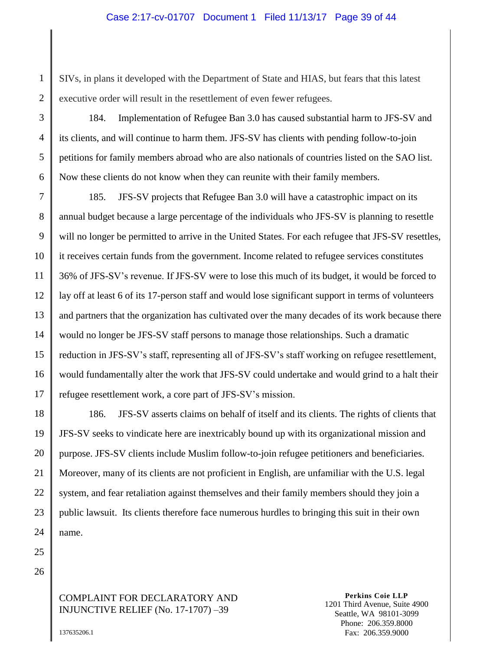#### Case 2:17-cv-01707 Document 1 Filed 11/13/17 Page 39 of 44

SIVs, in plans it developed with the Department of State and HIAS, but fears that this latest executive order will result in the resettlement of even fewer refugees.

3 4 5 6 184. Implementation of Refugee Ban 3.0 has caused substantial harm to JFS-SV and its clients, and will continue to harm them. JFS-SV has clients with pending follow-to-join petitions for family members abroad who are also nationals of countries listed on the SAO list. Now these clients do not know when they can reunite with their family members.

7 8 9 10 11 12 13 14 15 16 17 185. JFS-SV projects that Refugee Ban 3.0 will have a catastrophic impact on its annual budget because a large percentage of the individuals who JFS-SV is planning to resettle will no longer be permitted to arrive in the United States. For each refugee that JFS-SV resettles, it receives certain funds from the government. Income related to refugee services constitutes 36% of JFS-SV's revenue. If JFS-SV were to lose this much of its budget, it would be forced to lay off at least 6 of its 17-person staff and would lose significant support in terms of volunteers and partners that the organization has cultivated over the many decades of its work because there would no longer be JFS-SV staff persons to manage those relationships. Such a dramatic reduction in JFS-SV's staff, representing all of JFS-SV's staff working on refugee resettlement, would fundamentally alter the work that JFS-SV could undertake and would grind to a halt their refugee resettlement work, a core part of JFS-SV's mission.

18 19 20 21 22 23 24 186. JFS-SV asserts claims on behalf of itself and its clients. The rights of clients that JFS-SV seeks to vindicate here are inextricably bound up with its organizational mission and purpose. JFS-SV clients include Muslim follow-to-join refugee petitioners and beneficiaries. Moreover, many of its clients are not proficient in English, are unfamiliar with the U.S. legal system, and fear retaliation against themselves and their family members should they join a public lawsuit. Its clients therefore face numerous hurdles to bringing this suit in their own name.

25

1

2

26

# COMPLAINT FOR DECLARATORY AND INJUNCTIVE RELIEF (No. 17-1707) –39

**Perkins Coie LLP** 1201 Third Avenue, Suite 4900 Seattle, WA 98101-3099 Phone: 206.359.8000 Fax: 206.359.9000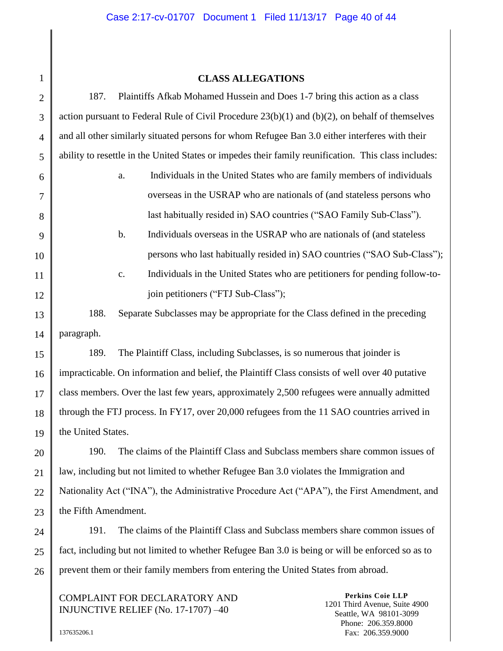# Case 2:17-cv-01707 Document 1 Filed 11/13/17 Page 40 of 44

| $\mathbf{1}$   | <b>CLASS ALLEGATIONS</b>                                                                                                                                          |  |
|----------------|-------------------------------------------------------------------------------------------------------------------------------------------------------------------|--|
| $\overline{2}$ | 187.<br>Plaintiffs Afkab Mohamed Hussein and Does 1-7 bring this action as a class                                                                                |  |
| 3              | action pursuant to Federal Rule of Civil Procedure $23(b)(1)$ and $(b)(2)$ , on behalf of themselves                                                              |  |
| $\overline{4}$ | and all other similarly situated persons for whom Refugee Ban 3.0 either interferes with their                                                                    |  |
| 5              | ability to resettle in the United States or impedes their family reunification. This class includes:                                                              |  |
| 6              | Individuals in the United States who are family members of individuals<br>a.                                                                                      |  |
| $\overline{7}$ | overseas in the USRAP who are nationals of (and stateless persons who                                                                                             |  |
| 8              | last habitually resided in) SAO countries ("SAO Family Sub-Class").                                                                                               |  |
| 9              | b.<br>Individuals overseas in the USRAP who are nationals of (and stateless                                                                                       |  |
| 10             | persons who last habitually resided in) SAO countries ("SAO Sub-Class");                                                                                          |  |
| 11             | Individuals in the United States who are petitioners for pending follow-to-<br>$\mathbf{c}$ .                                                                     |  |
| 12             | join petitioners ("FTJ Sub-Class");                                                                                                                               |  |
| 13             | 188.<br>Separate Subclasses may be appropriate for the Class defined in the preceding                                                                             |  |
| 14             | paragraph.                                                                                                                                                        |  |
| 15             | 189.<br>The Plaintiff Class, including Subclasses, is so numerous that joinder is                                                                                 |  |
| 16             | impracticable. On information and belief, the Plaintiff Class consists of well over 40 putative                                                                   |  |
| 17             | class members. Over the last few years, approximately 2,500 refugees were annually admitted                                                                       |  |
| 18             | through the FTJ process. In FY17, over 20,000 refugees from the 11 SAO countries arrived in                                                                       |  |
| 19             | the United States.                                                                                                                                                |  |
| 20             | The claims of the Plaintiff Class and Subclass members share common issues of<br>190.                                                                             |  |
| 21             | law, including but not limited to whether Refugee Ban 3.0 violates the Immigration and                                                                            |  |
| 22             | Nationality Act ("INA"), the Administrative Procedure Act ("APA"), the First Amendment, and                                                                       |  |
| 23             | the Fifth Amendment.                                                                                                                                              |  |
| 24             | The claims of the Plaintiff Class and Subclass members share common issues of<br>191.                                                                             |  |
| 25             | fact, including but not limited to whether Refugee Ban 3.0 is being or will be enforced so as to                                                                  |  |
| 26             | prevent them or their family members from entering the United States from abroad.                                                                                 |  |
|                | <b>Perkins Coie LLP</b><br><b>COMPLAINT FOR DECLARATORY AND</b><br>1201 Third Avenue, Suite 4900<br>INJUNCTIVE RELIEF (No. 17-1707) -40<br>Seattle, WA 98101-3099 |  |

Phone: 206.359.8000 Fax: 206.359.9000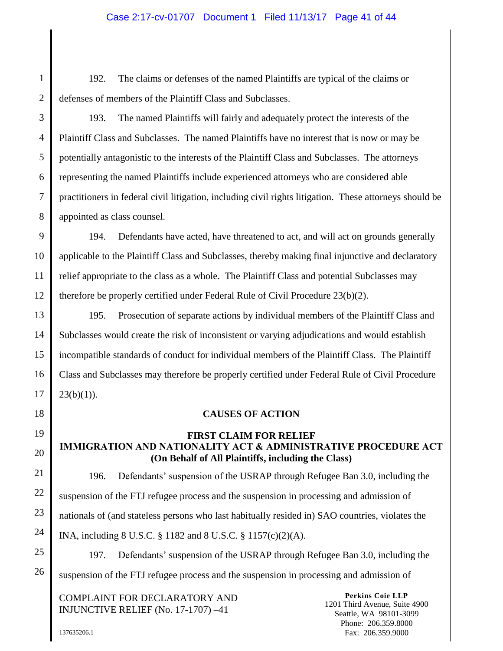## Case 2:17-cv-01707 Document 1 Filed 11/13/17 Page 41 of 44

192. The claims or defenses of the named Plaintiffs are typical of the claims or defenses of members of the Plaintiff Class and Subclasses.

2

1

3 4 5 6 7 8 193. The named Plaintiffs will fairly and adequately protect the interests of the Plaintiff Class and Subclasses. The named Plaintiffs have no interest that is now or may be potentially antagonistic to the interests of the Plaintiff Class and Subclasses. The attorneys representing the named Plaintiffs include experienced attorneys who are considered able practitioners in federal civil litigation, including civil rights litigation. These attorneys should be appointed as class counsel.

9 10 11 12 194. Defendants have acted, have threatened to act, and will act on grounds generally applicable to the Plaintiff Class and Subclasses, thereby making final injunctive and declaratory relief appropriate to the class as a whole. The Plaintiff Class and potential Subclasses may therefore be properly certified under Federal Rule of Civil Procedure 23(b)(2).

13 14 15 16 17 195. Prosecution of separate actions by individual members of the Plaintiff Class and Subclasses would create the risk of inconsistent or varying adjudications and would establish incompatible standards of conduct for individual members of the Plaintiff Class. The Plaintiff Class and Subclasses may therefore be properly certified under Federal Rule of Civil Procedure  $23(b)(1)$ ).

18 19

20

25

26

# **CAUSES OF ACTION**

# **FIRST CLAIM FOR RELIEF IMMIGRATION AND NATIONALITY ACT & ADMINISTRATIVE PROCEDURE ACT (On Behalf of All Plaintiffs, including the Class)**

21 22 23 24 196. Defendants' suspension of the USRAP through Refugee Ban 3.0, including the suspension of the FTJ refugee process and the suspension in processing and admission of nationals of (and stateless persons who last habitually resided in) SAO countries, violates the INA, including 8 U.S.C. § 1182 and 8 U.S.C. § 1157(c)(2)(A).

197. Defendants' suspension of the USRAP through Refugee Ban 3.0, including the suspension of the FTJ refugee process and the suspension in processing and admission of

COMPLAINT FOR DECLARATORY AND INJUNCTIVE RELIEF (No. 17-1707) –41

**Perkins Coie LLP** 1201 Third Avenue, Suite 4900 Seattle, WA 98101-3099 Phone: 206.359.8000 Fax: 206.359.9000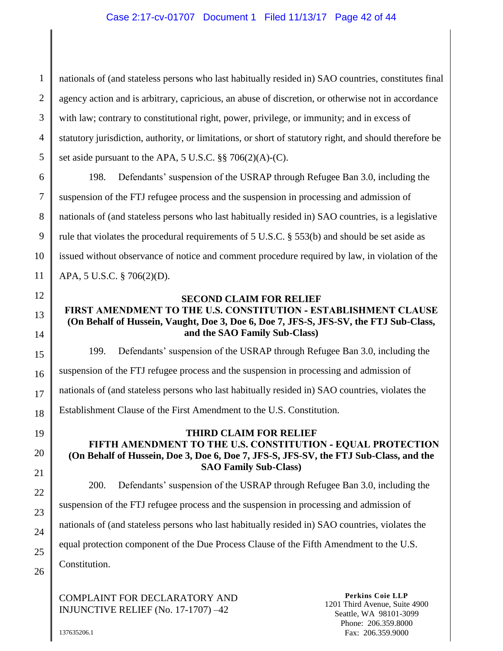# Case 2:17-cv-01707 Document 1 Filed 11/13/17 Page 42 of 44

1 2 3 nationals of (and stateless persons who last habitually resided in) SAO countries, constitutes final agency action and is arbitrary, capricious, an abuse of discretion, or otherwise not in accordance with law; contrary to constitutional right, power, privilege, or immunity; and in excess of statutory jurisdiction, authority, or limitations, or short of statutory right, and should therefore be set aside pursuant to the APA, 5 U.S.C. §§ 706(2)(A)-(C).

198. Defendants' suspension of the USRAP through Refugee Ban 3.0, including the suspension of the FTJ refugee process and the suspension in processing and admission of nationals of (and stateless persons who last habitually resided in) SAO countries, is a legislative rule that violates the procedural requirements of 5 U.S.C. § 553(b) and should be set aside as issued without observance of notice and comment procedure required by law, in violation of the APA, 5 U.S.C. § 706(2)(D).

**SECOND CLAIM FOR RELIEF**

# **FIRST AMENDMENT TO THE U.S. CONSTITUTION - ESTABLISHMENT CLAUSE (On Behalf of Hussein, Vaught, Doe 3, Doe 6, Doe 7, JFS-S, JFS-SV, the FTJ Sub-Class, and the SAO Family Sub-Class)**

199. Defendants' suspension of the USRAP through Refugee Ban 3.0, including the suspension of the FTJ refugee process and the suspension in processing and admission of nationals of (and stateless persons who last habitually resided in) SAO countries, violates the Establishment Clause of the First Amendment to the U.S. Constitution.

## **THIRD CLAIM FOR RELIEF FIFTH AMENDMENT TO THE U.S. CONSTITUTION - EQUAL PROTECTION (On Behalf of Hussein, Doe 3, Doe 6, Doe 7, JFS-S, JFS-SV, the FTJ Sub-Class, and the SAO Family Sub-Class)**

200. Defendants' suspension of the USRAP through Refugee Ban 3.0, including the suspension of the FTJ refugee process and the suspension in processing and admission of nationals of (and stateless persons who last habitually resided in) SAO countries, violates the equal protection component of the Due Process Clause of the Fifth Amendment to the U.S. Constitution.

COMPLAINT FOR DECLARATORY AND INJUNCTIVE RELIEF (No. 17-1707) –42

**Perkins Coie LLP** 1201 Third Avenue, Suite 4900 Seattle, WA 98101-3099 Phone: 206.359.8000 Fax: 206.359.9000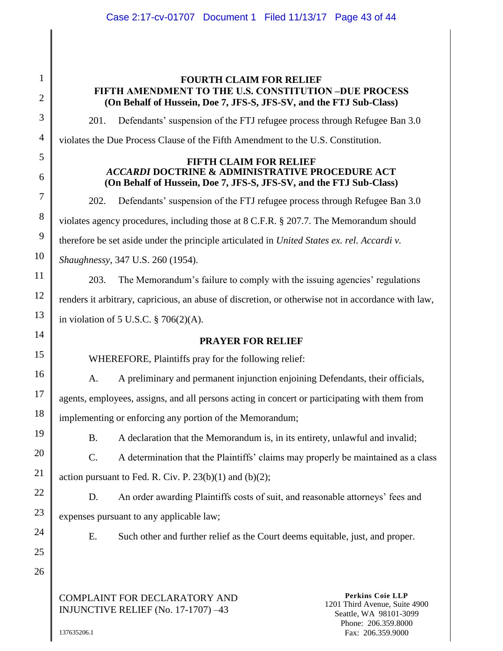# Case 2:17-cv-01707 Document 1 Filed 11/13/17 Page 43 of 44

# **FOURTH CLAIM FOR RELIEF FIFTH AMENDMENT TO THE U.S. CONSTITUTION –DUE PROCESS (On Behalf of Hussein, Doe 7, JFS-S, JFS-SV, and the FTJ Sub-Class)**

201. Defendants' suspension of the FTJ refugee process through Refugee Ban 3.0

violates the Due Process Clause of the Fifth Amendment to the U.S. Constitution.

#### **FIFTH CLAIM FOR RELIEF** *ACCARDI* **DOCTRINE & ADMINISTRATIVE PROCEDURE ACT (On Behalf of Hussein, Doe 7, JFS-S, JFS-SV, and the FTJ Sub-Class)**

202. Defendants' suspension of the FTJ refugee process through Refugee Ban 3.0 violates agency procedures, including those at 8 C.F.R. § 207.7. The Memorandum should therefore be set aside under the principle articulated in *United States ex. rel. Accardi v. Shaughnessy*, 347 U.S. 260 (1954).

203. The Memorandum's failure to comply with the issuing agencies' regulations renders it arbitrary, capricious, an abuse of discretion, or otherwise not in accordance with law, in violation of 5 U.S.C. § 706(2)(A).

# **PRAYER FOR RELIEF**

WHEREFORE, Plaintiffs pray for the following relief:

A. A preliminary and permanent injunction enjoining Defendants, their officials, agents, employees, assigns, and all persons acting in concert or participating with them from implementing or enforcing any portion of the Memorandum;

B. A declaration that the Memorandum is, in its entirety, unlawful and invalid;

C. A determination that the Plaintiffs' claims may properly be maintained as a class action pursuant to Fed. R. Civ. P.  $23(b)(1)$  and  $(b)(2)$ ;

D. An order awarding Plaintiffs costs of suit, and reasonable attorneys' fees and expenses pursuant to any applicable law;

E. Such other and further relief as the Court deems equitable, just, and proper.

# COMPLAINT FOR DECLARATORY AND INJUNCTIVE RELIEF (No. 17-1707) –43

**Perkins Coie LLP** 1201 Third Avenue, Suite 4900 Seattle, WA 98101-3099 Phone: 206.359.8000 Fax: 206.359.9000

137635206.1

1

2

3

4

5

6

7

8

9

10

11

12

13

14

15

16

17

18

19

20

21

22

23

24

25

26